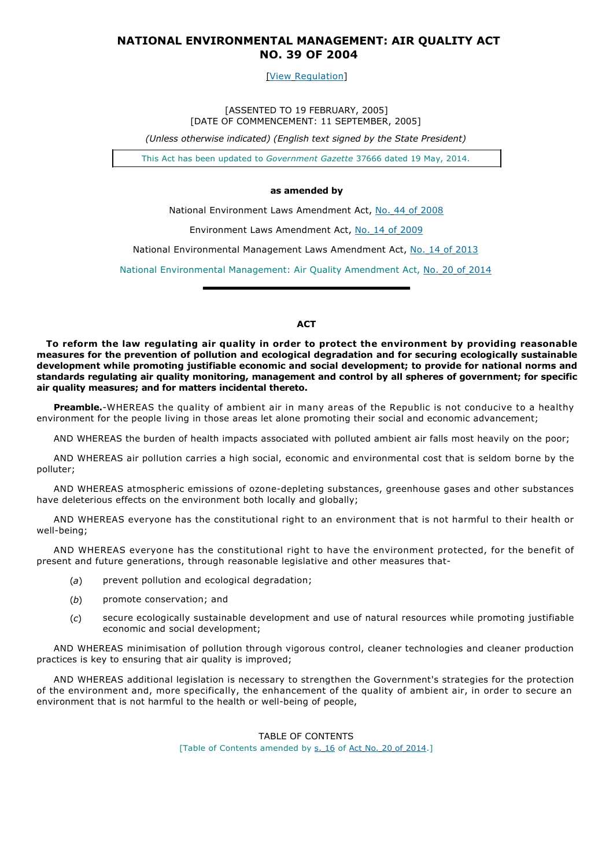# **NATIONAL ENVIRONMENTAL MANAGEMENT: AIR QUALITY ACT NO. 39 OF 2004**

[View Regulation]

[ASSENTED TO 19 FEBRUARY, 2005] [DATE OF COMMENCEMENT: 11 SEPTEMBER, 2005]

*(Unless otherwise indicated) (English text signed by the State President)*

This Act has been updated to *Government Gazette* 37666 dated 19 May, 2014.

## **as amended by**

National Environment Laws Amendment Act, No. 44 of 2008

Environment Laws Amendment Act, No. 14 of 2009

National Environmental Management Laws Amendment Act, No. 14 of 2013

National Environmental Management: Air Quality Amendment Act, No. 20 of 2014

## **ACT**

**To reform the law regulating air quality in order to protect the environment by providing reasonable measures for the prevention of pollution and ecological degradation and for securing ecologically sustainable development while promoting justifiable economic and social development; to provide for national norms and standards regulating air quality monitoring, management and control by all spheres of government; for specific air quality measures; and for matters incidental thereto.**

**Preamble.**-WHEREAS the quality of ambient air in many areas of the Republic is not conducive to a healthy environment for the people living in those areas let alone promoting their social and economic advancement;

AND WHEREAS the burden of health impacts associated with polluted ambient air falls most heavily on the poor;

AND WHEREAS air pollution carries a high social, economic and environmental cost that is seldom borne by the polluter;

AND WHEREAS atmospheric emissions of ozone-depleting substances, greenhouse gases and other substances have deleterious effects on the environment both locally and globally;

AND WHEREAS everyone has the constitutional right to an environment that is not harmful to their health or well-being;

AND WHEREAS everyone has the constitutional right to have the environment protected, for the benefit of present and future generations, through reasonable legislative and other measures that-

- (*a*) prevent pollution and ecological degradation;
- (*b*) promote conservation; and
- (*c*) secure ecologically sustainable development and use of natural resources while promoting justifiable economic and social development;

AND WHEREAS minimisation of pollution through vigorous control, cleaner technologies and cleaner production practices is key to ensuring that air quality is improved;

AND WHEREAS additional legislation is necessary to strengthen the Government's strategies for the protection of the environment and, more specifically, the enhancement of the quality of ambient air, in order to secure an environment that is not harmful to the health or well-being of people,

> TABLE OF CONTENTS [Table of Contents amended by s. 16 of Act No. 20 of 2014.]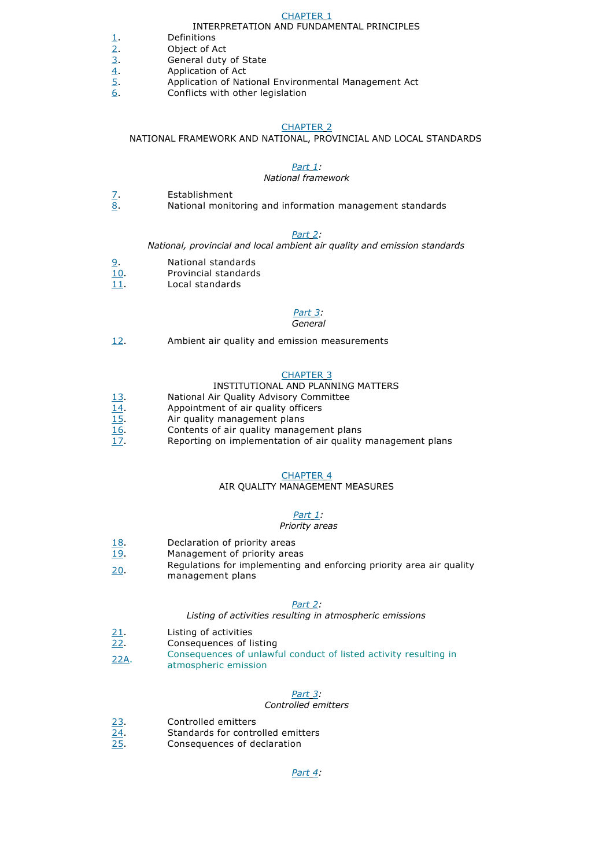## CHAPTER 1

#### INTERPRETATION AND FUNDAMENTAL PRINCIPLES

- $\frac{2}{2}$ . Definitions<br>  $\frac{3}{2}$ . Object of A<br>  $\frac{4}{2}$ . Application<br>  $\frac{5}{2}$ .
- Object of Act
	- General duty of State
- 4. Application of Act
- $5.$  Application of National Environmental Management Act 6.<br>6. Conflicts with other legislation
	- Conflicts with other legislation

#### CHAPTER 2

NATIONAL FRAMEWORK AND NATIONAL, PROVINCIAL AND LOCAL STANDARDS

## *Part 1:*

#### *National framework*

- 7. Establishment
- 8. National monitoring and information management standards

### *Part 2:*

*National, provincial and local ambient air quality and emission standards*

- 9. National standards
- 10. Provincial standards
- $\overline{11}$ . Local standards

## *Part 3:*

#### *General*

12. Ambient air quality and emission measurements

#### CHAPTER 3

## INSTITUTIONAL AND PLANNING MATTERS

- 13. National Air Quality Advisory Committee
- 14. Appointment of air quality officers
- 15. Air quality management plans
- 16. Contents of air quality management plans<br>17. Reporting on implementation of air quality
- Reporting on implementation of air quality management plans

#### CHAPTER 4

# AIR QUALITY MANAGEMENT MEASURES

### *Part 1:*

#### *Priority areas*

- 18. Declaration of priority areas
- 19. Management of priority areas
- 20. Regulations for implementing and enforcing priority area air quality
- management plans

#### *Part 2:*

## *Listing of activities resulting in atmospheric emissions*

- 21. Listing of activities
- 22. Consequences of listing
- 22A. Consequences of unlawful conduct of listed activity resulting in atmospheric emission

#### *Part 3:*

#### *Controlled emitters*

- 23. Controlled emitters
- 24. Standards for controlled emitters
- 25. Consequences of declaration

#### *Part 4:*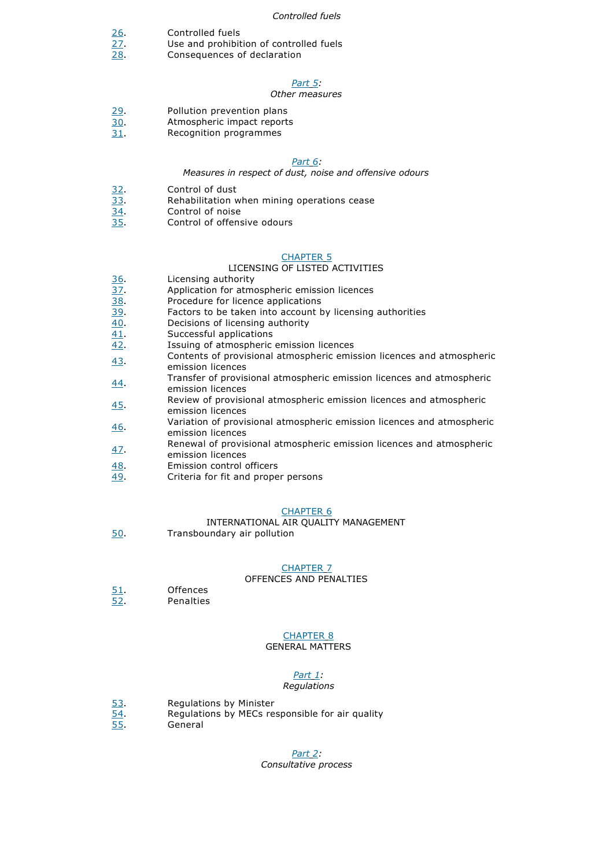#### *Controlled fuels*

- 26. Controlled fuels
- 27. Use and prohibition of controlled fuels
- 28. Consequences of declaration

## *Part 5:*

#### *Other measures*

- 29. Pollution prevention plans
- 30. Atmospheric impact reports
- 31. Recognition programmes

#### *Part 6:*

#### *Measures in respect of dust, noise and offensive odours*

- 32. Control of dust
- 33. Rehabilitation when mining operations cease
- 34. Control of noise
- 35. Control of offensive odours

### CHAPTER 5

## LICENSING OF LISTED ACTIVITIES

- 36. Licensing authority
- 37. Application for atmospheric emission licences
- 38. Procedure for licence applications
- 39. Factors to be taken into account by licensing authorities
- 40. Decisions of licensing authority
- 41. Successful applications
- 42. Issuing of atmospheric emission licences
- 43. Contents of provisional atmospheric emission licences and atmospheric emission licences
- 44. Transfer of provisional atmospheric emission licences and atmospheric emission licences
- 45. Review of provisional atmospheric emission licences and atmospheric emission licences
- 46. Variation of provisional atmospheric emission licences and atmospheric emission licences
- 47. Renewal of provisional atmospheric emission licences and atmospheric emission licences
- 48. Emission control officers
- 49. Criteria for fit and proper persons

### CHAPTER 6

INTERNATIONAL AIR QUALITY MANAGEMENT Transboundary air pollution

## CHAPTER 7

## OFFENCES AND PENALTIES

51. Offences<br>52. Penalties

50.

**Penalties** 

## CHAPTER 8

## GENERAL MATTERS

## *Part 1:*

#### *Regulations*

- 53. Regulations by Minister<br>54. Regulations by MECs re<br>55. General
	- Regulations by MECs responsible for air quality
- **General**

#### *Part 2:*

#### *Consultative process*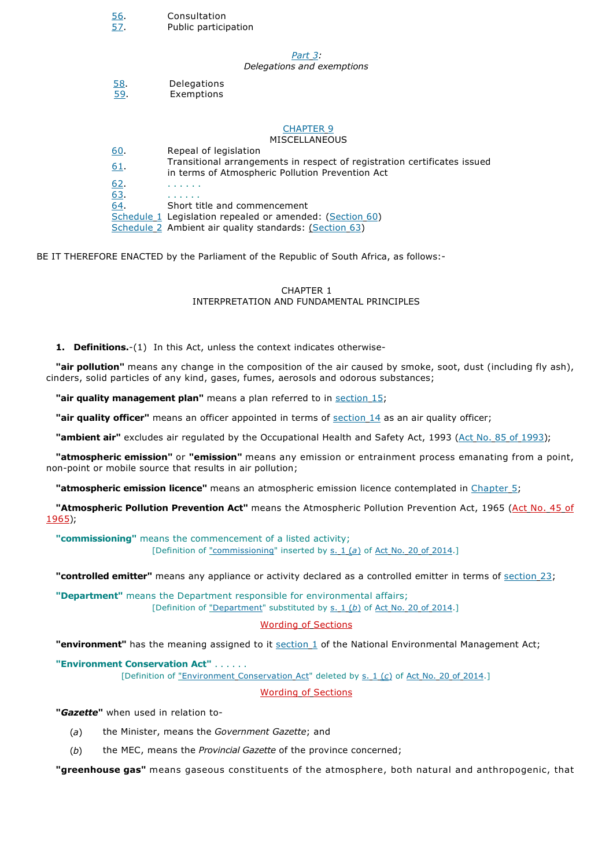| <u>. סכ</u><br><u>57.</u> | Consuitation<br>Public participation                                                                                         |
|---------------------------|------------------------------------------------------------------------------------------------------------------------------|
|                           | Part 3:<br>Delegations and exemptions                                                                                        |
| <u>58.</u><br>59.         | Delegations<br>Exemptions                                                                                                    |
|                           | <b>CHAPTER 9</b><br><b>MISCELLANEOUS</b>                                                                                     |
| <u>60</u>                 | Repeal of legislation                                                                                                        |
| 61                        | Transitional arrangements in respect of registration certificates issued<br>in terms of Atmospheric Pollution Prevention Act |
| 62.                       |                                                                                                                              |
| 63.                       |                                                                                                                              |
| 64.                       | Short title and commencement                                                                                                 |
|                           | Schedule 1 Legislation repealed or amended: (Section 60)                                                                     |
|                           | Schedule 2 Ambient air quality standards: (Section 63)                                                                       |

BE IT THEREFORE ENACTED by the Parliament of the Republic of South Africa, as follows:-

## CHAPTER 1 INTERPRETATION AND FUNDAMENTAL PRINCIPLES

**1. Definitions.**-(1) In this Act, unless the context indicates otherwise-

56. Consultation

**"air pollution"** means any change in the composition of the air caused by smoke, soot, dust (including fly ash), cinders, solid particles of any kind, gases, fumes, aerosols and odorous substances;

**"air quality management plan"** means a plan referred to in section 15;

**"air quality officer"** means an officer appointed in terms of section 14 as an air quality officer;

**"ambient air"** excludes air regulated by the Occupational Health and Safety Act, 1993 (Act No. 85 of 1993);

**"atmospheric emission"** or **"emission"** means any emission or entrainment process emanating from a point, non-point or mobile source that results in air pollution;

**"atmospheric emission licence"** means an atmospheric emission licence contemplated in Chapter 5;

**"Atmospheric Pollution Prevention Act"** means the Atmospheric Pollution Prevention Act, 1965 (Act No. 45 of 1965);

**"commissioning"** means the commencement of a listed activity; [Definition of "commissioning" inserted by s. 1 (a) of Act No. 20 of 2014.]

**"controlled emitter"** means any appliance or activity declared as a controlled emitter in terms of section 23;

**"Department"** means the Department responsible for environmental affairs; [Definition of "Department" substituted by s. 1 (b) of Act No. 20 of 2014.]

# Wording of Sections

**"environment"** has the meaning assigned to it **section 1** of the National Environmental Management Act;

**"Environment Conservation Act"** . . . . . .

[Definition of "Environment Conservation Act" deleted by s. 1 (*c*) of Act No. 20 of 2014.]

Wording of Sections

**"***Gazette***"** when used in relation to-

- (*a*) the Minister, means the *Government Gazette*; and
- (*b*) the MEC, means the *Provincial Gazette* of the province concerned;

**"greenhouse gas"** means gaseous constituents of the atmosphere, both natural and anthropogenic, that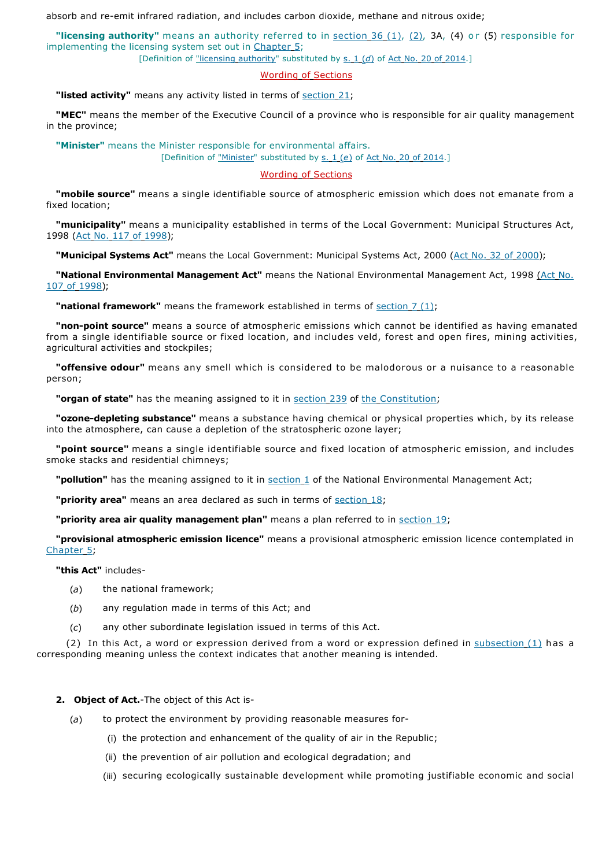absorb and re-emit infrared radiation, and includes carbon dioxide, methane and nitrous oxide;

"licensing **authority**" means an authority referred to in section 36 (1), (2), 3A, (4) or (5) responsible for implementing the licensing system set out in Chapter 5;

[Definition of "licensing authority" substituted by s. 1 (d) of Act No. 20 of 2014.]

## Wording of Sections

**"listed activity"** means any activity listed in terms of section 21;

**"MEC"** means the member of the Executive Council of a province who is responsible for air quality management in the province;

**"Minister"** means the Minister responsible for environmental affairs.

[Definition of "Minister" substituted by s. 1 (*e*) of Act No. 20 of 2014.]

## Wording of Sections

**"mobile source"** means a single identifiable source of atmospheric emission which does not emanate from a fixed location;

**"municipality"** means a municipality established in terms of the Local Government: Municipal Structures Act, 1998 (Act No. 117 of 1998);

**"Municipal Systems Act"** means the Local Government: Municipal Systems Act, 2000 (Act No. 32 of 2000);

**"National Environmental Management Act"** means the National Environmental Management Act, 1998 (Act No. 107 of 1998);

**"national framework"** means the framework established in terms of section 7 (1);

**"non-point source"** means a source of atmospheric emissions which cannot be identified as having emanated from a single identifiable source or fixed location, and includes veld, forest and open fires, mining activities, agricultural activities and stockpiles;

**"offensive odour"** means any smell which is considered to be malodorous or a nuisance to a reasonable person;

**"organ of state"** has the meaning assigned to it in section 239 of the Constitution;

**"ozone-depleting substance"** means a substance having chemical or physical properties which, by its release into the atmosphere, can cause a depletion of the stratospheric ozone layer;

**"point source"** means a single identifiable source and fixed location of atmospheric emission, and includes smoke stacks and residential chimneys;

**"pollution"** has the meaning assigned to it in section 1 of the National Environmental Management Act;

"**priority area**" means an area declared as such in terms of section 18;

**"priority area air quality management plan"** means a plan referred to in section 19;

**"provisional atmospheric emission licence"** means a provisional atmospheric emission licence contemplated in Chapter 5;

**"this Act"** includes-

- (*a*) the national framework;
- (*b*) any regulation made in terms of this Act; and
- (*c*) any other subordinate legislation issued in terms of this Act.

(2) In this Act, a word or expression derived from a word or expression defined in  $\frac{\text{subsection}(1)}{\text{abs}}$  has a corresponding meaning unless the context indicates that another meaning is intended.

## **2. Object of Act.**-The object of this Act is-

- (*a*) to protect the environment by providing reasonable measures for-
	- (i) the protection and enhancement of the quality of air in the Republic;
	- (ii) the prevention of air pollution and ecological degradation; and
	- (iii) securing ecologically sustainable development while promoting justifiable economic and social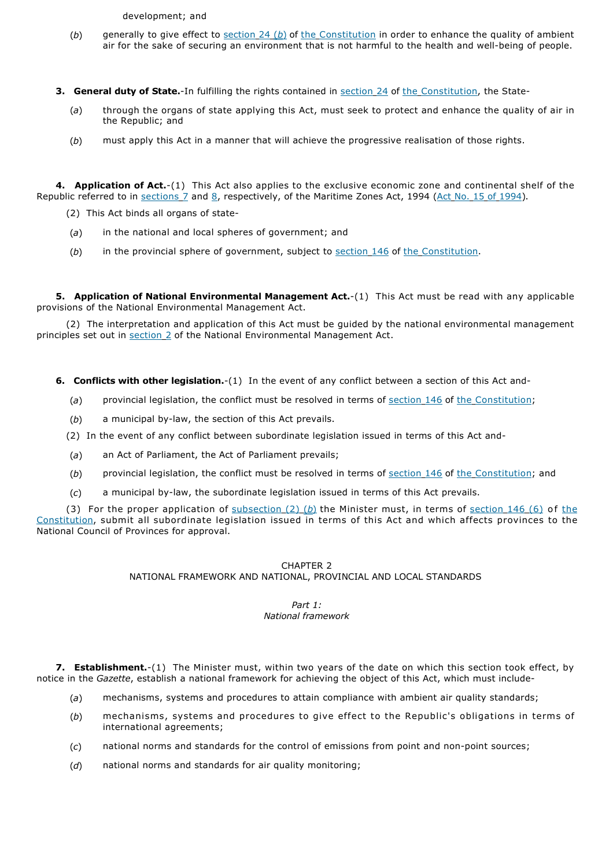development; and

- (*b*) generally to give effect to section 24 (*b*) of the Constitution in order to enhance the quality of ambient air for the sake of securing an environment that is not harmful to the health and well-being of people.
- **3. General duty of State.**-In fulfilling the rights contained in section 24 of the Constitution, the State-
	- (*a*) through the organs of state applying this Act, must seek to protect and enhance the quality of air in the Republic; and
	- (*b*) must apply this Act in a manner that will achieve the progressive realisation of those rights.

**4. Application of Act.**-(1) This Act also applies to the exclusive economic zone and continental shelf of the Republic referred to in sections 7 and 8, respectively, of the Maritime Zones Act, 1994 (Act No. 15 of 1994).

- (2) This Act binds all organs of state-
- (*a*) in the national and local spheres of government; and
- (*b*) in the provincial sphere of government, subject to section 146 of the Constitution.

**5. Application of National Environmental Management Act.**-(1) This Act must be read with any applicable provisions of the National Environmental Management Act.

(2) The interpretation and application of this Act must be guided by the national environmental management principles set out in section 2 of the National Environmental Management Act.

- **6. Conflicts with other legislation.**-(1) In the event of any conflict between a section of this Act and-
	- (a) provincial legislation, the conflict must be resolved in terms of section 146 of the Constitution;
	- (*b*) a municipal by-law, the section of this Act prevails.
	- (2) In the event of any conflict between subordinate legislation issued in terms of this Act and-
	- (*a*) an Act of Parliament, the Act of Parliament prevails;
	- (b) provincial legislation, the conflict must be resolved in terms of section 146 of the Constitution; and
	- (*c*) a municipal by-law, the subordinate legislation issued in terms of this Act prevails.

(3) For the proper application of subsection (2) (*b*) the Minister must, in terms of section 146 (6) of the Constitution, submit all subordinate legislation issued in terms of this Act and which affects provinces to the National Council of Provinces for approval.

## CHAPTER 2 NATIONAL FRAMEWORK AND NATIONAL, PROVINCIAL AND LOCAL STANDARDS

## *Part 1: National framework*

**7. Establishment.**-(1) The Minister must, within two years of the date on which this section took effect, by notice in the *Gazette*, establish a national framework for achieving the object of this Act, which must include-

- (*a*) mechanisms, systems and procedures to attain compliance with ambient air quality standards;
- (*b*) mechanisms, systems and procedures to give effect to the Republic's obligations in terms of international agreements;
- (*c*) national norms and standards for the control of emissions from point and non-point sources;
- (*d*) national norms and standards for air quality monitoring;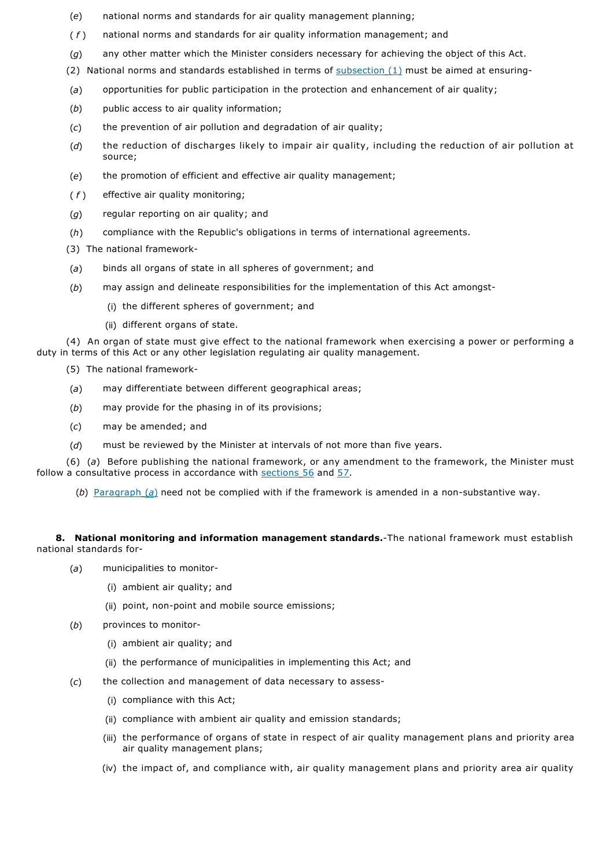- (*e*) national norms and standards for air quality management planning;
- ( *f* ) national norms and standards for air quality information management; and
- (*g*) any other matter which the Minister considers necessary for achieving the object of this Act.
- (2) National norms and standards established in terms of  $subsection(1)$  must be aimed at ensuring-
- (*a*) opportunities for public participation in the protection and enhancement of air quality;
- (*b*) public access to air quality information;
- (*c*) the prevention of air pollution and degradation of air quality;
- (*d*) the reduction of discharges likely to impair air quality, including the reduction of air pollution at source;
- (*e*) the promotion of efficient and effective air quality management;
- ( *f* ) effective air quality monitoring;
- (*g*) regular reporting on air quality; and
- (*h*) compliance with the Republic's obligations in terms of international agreements.
- (3) The national framework-
- (*a*) binds all organs of state in all spheres of government; and
- (*b*) may assign and delineate responsibilities for the implementation of this Act amongst-
	- (i) the different spheres of government; and
	- (ii) different organs of state.

(4) An organ of state must give effect to the national framework when exercising a power or performing a duty in terms of this Act or any other legislation regulating air quality management.

- (5) The national framework-
- (*a*) may differentiate between different geographical areas;
- (*b*) may provide for the phasing in of its provisions;
- (*c*) may be amended; and
- (*d*) must be reviewed by the Minister at intervals of not more than five years.

(6) (*a*) Before publishing the national framework, or any amendment to the framework, the Minister must follow a consultative process in accordance with sections 56 and 57.

(*b*) Paragraph (*a*) need not be complied with if the framework is amended in a non-substantive way.

**8. National monitoring and information management standards.**-The national framework must establish national standards for-

- (*a*) municipalities to monitor-
	- (i) ambient air quality; and
	- (ii) point, non-point and mobile source emissions;
- (*b*) provinces to monitor-
	- (i) ambient air quality; and
	- (ii) the performance of municipalities in implementing this Act; and
- (*c*) the collection and management of data necessary to assess-
	- (i) compliance with this Act;
	- (ii) compliance with ambient air quality and emission standards;
	- (iii) the performance of organs of state in respect of air quality management plans and priority area air quality management plans;
	- (iv) the impact of, and compliance with, air quality management plans and priority area air quality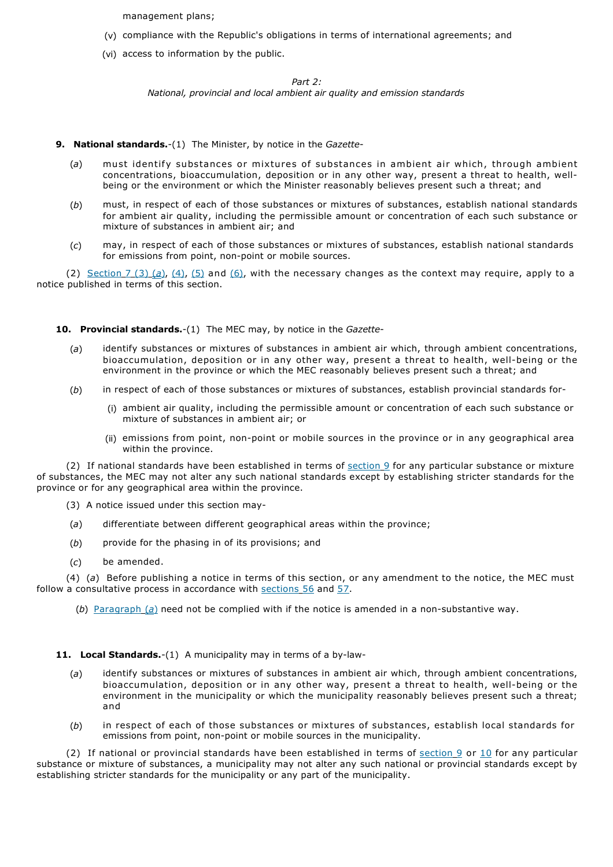management plans;

- (v) compliance with the Republic's obligations in terms of international agreements; and
- (vi) access to information by the public.

*Part 2: National, provincial and local ambient air quality and emission standards*

## **9. National standards.**-(1) The Minister, by notice in the *Gazette*-

- (*a*) must identify substances or mixtures of substances in ambient air which, through ambient concentrations, bioaccumulation, deposition or in any other way, present a threat to health, wellbeing or the environment or which the Minister reasonably believes present such a threat; and
- (*b*) must, in respect of each of those substances or mixtures of substances, establish national standards for ambient air quality, including the permissible amount or concentration of each such substance or mixture of substances in ambient air; and
- (*c*) may, in respect of each of those substances or mixtures of substances, establish national standards for emissions from point, non-point or mobile sources.

(2) Section  $7(3)(4)$ ,  $(4)$ ,  $(5)$  and  $(6)$ , with the necessary changes as the context may require, apply to a notice published in terms of this section.

## **10. Provincial standards.**-(1) The MEC may, by notice in the *Gazette*-

- (*a*) identify substances or mixtures of substances in ambient air which, through ambient concentrations, bioaccumulation, deposition or in any other way, present a threat to health, well-being or the environment in the province or which the MEC reasonably believes present such a threat; and
- (*b*) in respect of each of those substances or mixtures of substances, establish provincial standards for-
	- (i) ambient air quality, including the permissible amount or concentration of each such substance or mixture of substances in ambient air; or
	- (ii) emissions from point, non-point or mobile sources in the province or in any geographical area within the province.

(2) If national standards have been established in terms of  $section_9$  for any particular substance or mixture of substances, the MEC may not alter any such national standards except by establishing stricter standards for the province or for any geographical area within the province.

- (3) A notice issued under this section may-
- (*a*) differentiate between different geographical areas within the province;
- (*b*) provide for the phasing in of its provisions; and
- (*c*) be amended.

(4) (*a*) Before publishing a notice in terms of this section, or any amendment to the notice, the MEC must follow a consultative process in accordance with sections 56 and 57.

(*b*) Paragraph (*a*) need not be complied with if the notice is amended in a non-substantive way.

**11. Local Standards.**-(1) A municipality may in terms of a by-law-

- (*a*) identify substances or mixtures of substances in ambient air which, through ambient concentrations, bioaccumulation, deposition or in any other way, present a threat to health, well-being or the environment in the municipality or which the municipality reasonably believes present such a threat; and
- (*b*) in respect of each of those substances or mixtures of substances, establish local standards for emissions from point, non-point or mobile sources in the municipality.

(2) If national or provincial standards have been established in terms of section 9 or 10 for any particular substance or mixture of substances, a municipality may not alter any such national or provincial standards except by establishing stricter standards for the municipality or any part of the municipality.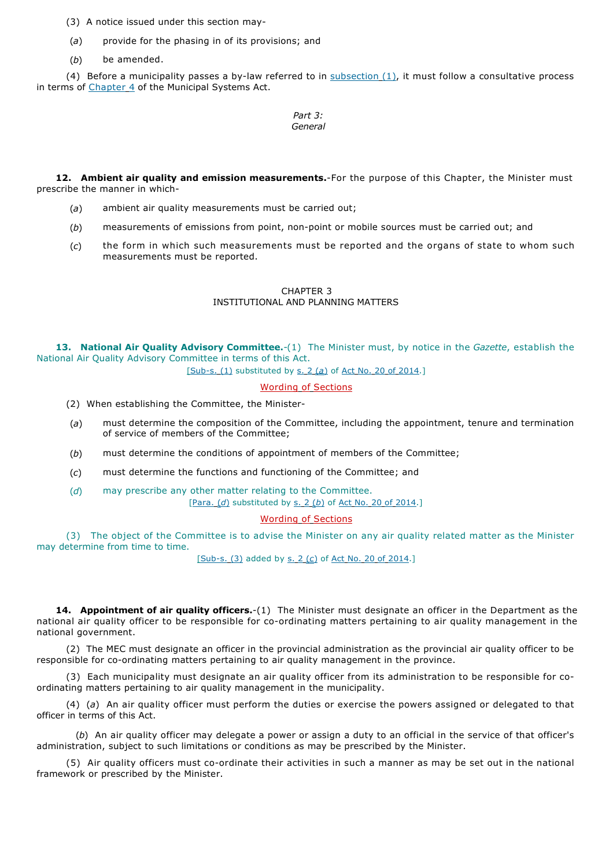(3) A notice issued under this section may-

- (*a*) provide for the phasing in of its provisions; and
- (*b*) be amended.

(4) Before a municipality passes a by-law referred to in subsection  $(1)$ , it must follow a consultative process in terms of Chapter 4 of the Municipal Systems Act.

> *Part 3: General*

**12. Ambient air quality and emission measurements.**-For the purpose of this Chapter, the Minister must prescribe the manner in which-

- (*a*) ambient air quality measurements must be carried out;
- (*b*) measurements of emissions from point, non-point or mobile sources must be carried out; and
- (*c*) the form in which such measurements must be reported and the organs of state to whom such measurements must be reported.

## CHAPTER 3 INSTITUTIONAL AND PLANNING MATTERS

**13. National Air Quality Advisory Committee.**-(1) The Minister must, by notice in the *Gazette*, establish the National Air Quality Advisory Committee in terms of this Act.

[Sub-s. (1) substituted by s. 2 (*a*) of Act No. 20 of 2014.]

# Wording of Sections

- (2) When establishing the Committee, the Minister-
- (*a*) must determine the composition of the Committee, including the appointment, tenure and termination of service of members of the Committee;
- (*b*) must determine the conditions of appointment of members of the Committee;
- (*c*) must determine the functions and functioning of the Committee; and
- (*d*) may prescribe any other matter relating to the Committee. [Para. (*d*) substituted by s. 2 (*b*) of Act No. 20 of 2014.]

#### Wording of Sections

(3) The object of the Committee is to advise the Minister on any air quality related matter as the Minister may determine from time to time.

[Sub-s. (3) added by s. 2 (*c*) of Act No. 20 of 2014.]

**14. Appointment of air quality officers.**-(1) The Minister must designate an officer in the Department as the national air quality officer to be responsible for co-ordinating matters pertaining to air quality management in the national government.

(2) The MEC must designate an officer in the provincial administration as the provincial air quality officer to be responsible for co-ordinating matters pertaining to air quality management in the province.

(3) Each municipality must designate an air quality officer from its administration to be responsible for coordinating matters pertaining to air quality management in the municipality.

(4) (*a*) An air quality officer must perform the duties or exercise the powers assigned or delegated to that officer in terms of this Act.

(*b*) An air quality officer may delegate a power or assign a duty to an official in the service of that officer's administration, subject to such limitations or conditions as may be prescribed by the Minister.

(5) Air quality officers must co-ordinate their activities in such a manner as may be set out in the national framework or prescribed by the Minister.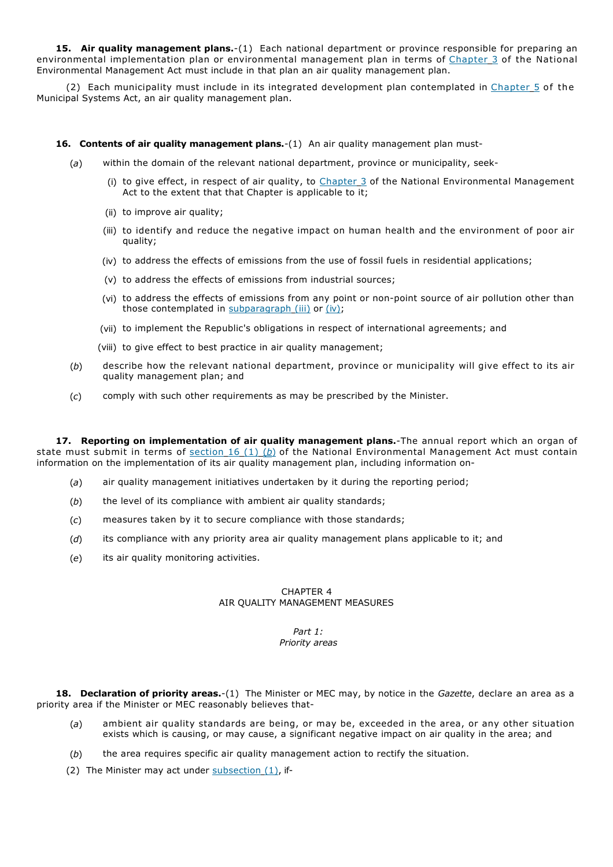**15. Air quality management plans.**-(1) Each national department or province responsible for preparing an environmental implementation plan or environmental management plan in terms of Chapter 3 of the National Environmental Management Act must include in that plan an air quality management plan.

(2) Each municipality must include in its integrated development plan contemplated in Chapter 5 of the Municipal Systems Act, an air quality management plan.

#### **16. Contents of air quality management plans.**-(1) An air quality management plan must-

- (*a*) within the domain of the relevant national department, province or municipality, seek-
	- (i) to give effect, in respect of air quality, to  $Chapter 3$  of the National Environmental Management Act to the extent that that Chapter is applicable to it;
	- (ii) to improve air quality;
	- (iii) to identify and reduce the negative impact on human health and the environment of poor air quality;
	- (iv) to address the effects of emissions from the use of fossil fuels in residential applications;
	- (v) to address the effects of emissions from industrial sources;
	- (vi) to address the effects of emissions from any point or non-point source of air pollution other than those contemplated in subparagraph (iii) or (iv);
	- (vii) to implement the Republic's obligations in respect of international agreements; and
	- (viii) to give effect to best practice in air quality management;
- (*b*) describe how the relevant national department, province or municipality will give effect to its air quality management plan; and
- (*c*) comply with such other requirements as may be prescribed by the Minister.

**17. Reporting on implementation of air quality management plans.**-The annual report which an organ of state must submit in terms of section 16 (1) (*b*) of the National Environmental Management Act must contain information on the implementation of its air quality management plan, including information on-

- (*a*) air quality management initiatives undertaken by it during the reporting period;
- (*b*) the level of its compliance with ambient air quality standards;
- (*c*) measures taken by it to secure compliance with those standards;
- (*d*) its compliance with any priority area air quality management plans applicable to it; and
- (*e*) its air quality monitoring activities.

## CHAPTER 4 AIR QUALITY MANAGEMENT MEASURES

#### *Part 1: Priority areas*

**18. Declaration of priority areas.**-(1) The Minister or MEC may, by notice in the *Gazette*, declare an area as a priority area if the Minister or MEC reasonably believes that-

- (*a*) ambient air quality standards are being, or may be, exceeded in the area, or any other situation exists which is causing, or may cause, a significant negative impact on air quality in the area; and
- (*b*) the area requires specific air quality management action to rectify the situation.
- (2) The Minister may act under  $subsection(1)$ , if-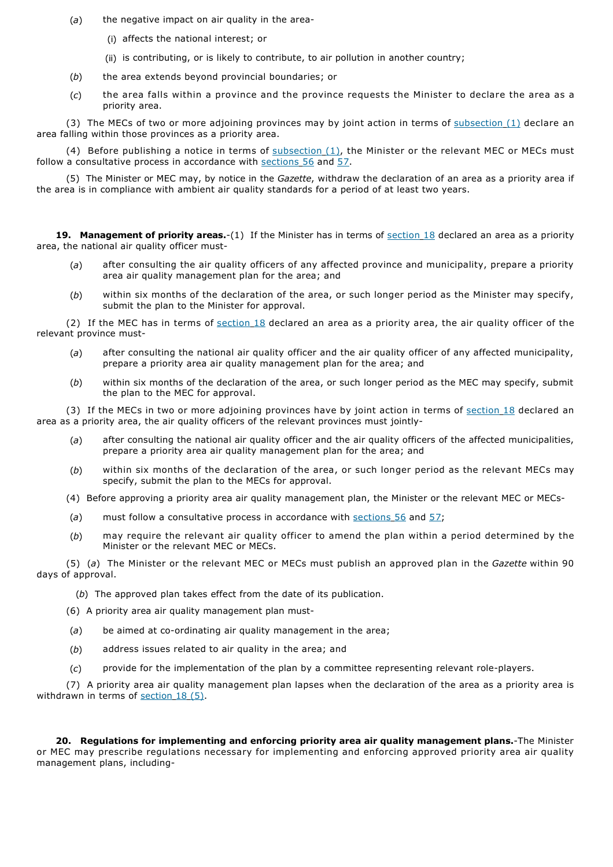- (*a*) the negative impact on air quality in the area-
	- (i) affects the national interest; or
	- (ii) is contributing, or is likely to contribute, to air pollution in another country;
- (*b*) the area extends beyond provincial boundaries; or
- (*c*) the area falls within a province and the province requests the Minister to declare the area as a priority area.

(3) The MECs of two or more adjoining provinces may by joint action in terms of subsection  $(1)$  declare an area falling within those provinces as a priority area.

(4) Before publishing a notice in terms of  $subsection(1)$ , the Minister or the relevant MEC or MECs must follow a consultative process in accordance with sections 56 and 57.

(5) The Minister or MEC may, by notice in the *Gazette*, withdraw the declaration of an area as a priority area if the area is in compliance with ambient air quality standards for a period of at least two years.

**19. Management of priority areas.**-(1) If the Minister has in terms of section 18 declared an area as a priority area, the national air quality officer must-

- (*a*) after consulting the air quality officers of any affected province and municipality, prepare a priority area air quality management plan for the area; and
- (*b*) within six months of the declaration of the area, or such longer period as the Minister may specify, submit the plan to the Minister for approval.

(2) If the MEC has in terms of section 18 declared an area as a priority area, the air quality officer of the relevant province must-

- (*a*) after consulting the national air quality officer and the air quality officer of any affected municipality, prepare a priority area air quality management plan for the area; and
- (*b*) within six months of the declaration of the area, or such longer period as the MEC may specify, submit the plan to the MEC for approval.

(3) If the MECs in two or more adjoining provinces have by joint action in terms of section 18 declared an area as a priority area, the air quality officers of the relevant provinces must jointly-

- (*a*) after consulting the national air quality officer and the air quality officers of the affected municipalities, prepare a priority area air quality management plan for the area; and
- (*b*) within six months of the declaration of the area, or such longer period as the relevant MECs may specify, submit the plan to the MECs for approval.
- (4) Before approving a priority area air quality management plan, the Minister or the relevant MEC or MECs-
- (*a*) must follow a consultative process in accordance with sections 56 and 57;
- (*b*) may require the relevant air quality officer to amend the plan within a period determined by the Minister or the relevant MEC or MECs.

(5) (*a*) The Minister or the relevant MEC or MECs must publish an approved plan in the *Gazette* within 90 days of approval.

(*b*) The approved plan takes effect from the date of its publication.

- (6) A priority area air quality management plan must-
- (*a*) be aimed at co-ordinating air quality management in the area;
- (*b*) address issues related to air quality in the area; and
- (*c*) provide for the implementation of the plan by a committee representing relevant role-players.

(7) A priority area air quality management plan lapses when the declaration of the area as a priority area is withdrawn in terms of section 18 (5).

**20. Regulations for implementing and enforcing priority area air quality management plans.**-The Minister or MEC may prescribe regulations necessary for implementing and enforcing approved priority area air quality management plans, including-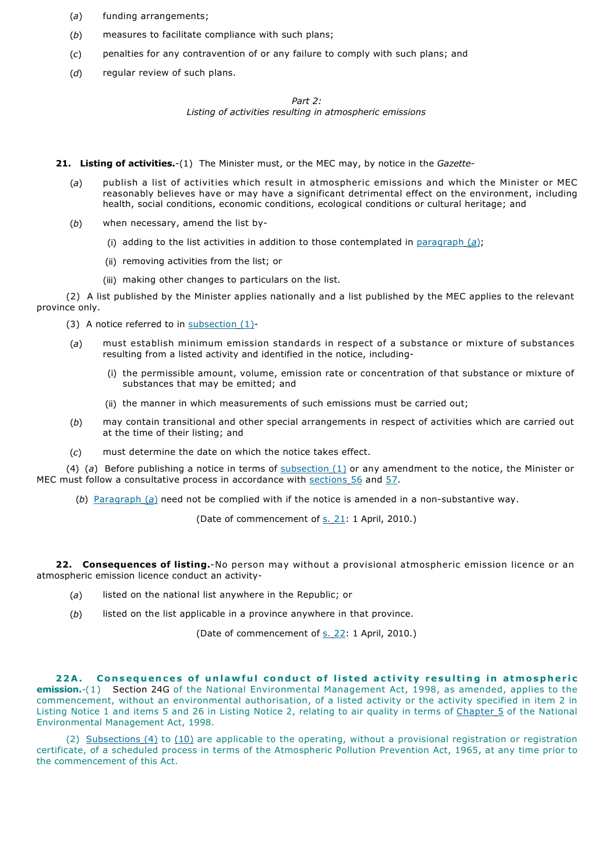- (*a*) funding arrangements;
- (*b*) measures to facilitate compliance with such plans;
- (*c*) penalties for any contravention of or any failure to comply with such plans; and
- (*d*) regular review of such plans.

## *Part 2:*

*Listing of activities resulting in atmospheric emissions*

**21. Listing of activities.**-(1) The Minister must, or the MEC may, by notice in the *Gazette*-

- (*a*) publish a list of activities which result in atmospheric emissions and which the Minister or MEC reasonably believes have or may have a significant detrimental effect on the environment, including health, social conditions, economic conditions, ecological conditions or cultural heritage; and
- (*b*) when necessary, amend the list by-
	- (i) adding to the list activities in addition to those contemplated in paragraph (*a*);
	- (ii) removing activities from the list; or
	- (iii) making other changes to particulars on the list.

(2) A list published by the Minister applies nationally and a list published by the MEC applies to the relevant province only.

- (3) A notice referred to in subsection (1)-
- (*a*) must establish minimum emission standards in respect of a substance or mixture of substances resulting from a listed activity and identified in the notice, including-
	- (i) the permissible amount, volume, emission rate or concentration of that substance or mixture of substances that may be emitted; and
	- (ii) the manner in which measurements of such emissions must be carried out;
- (*b*) may contain transitional and other special arrangements in respect of activities which are carried out at the time of their listing; and
- (*c*) must determine the date on which the notice takes effect.

(4) (*a*) Before publishing a notice in terms of subsection (1) or any amendment to the notice, the Minister or MEC must follow a consultative process in accordance with sections 56 and 57.

(*b*) Paragraph (*a*) need not be complied with if the notice is amended in a non-substantive way.

(Date of commencement of s. 21: 1 April, 2010.)

**22. Consequences of listing.**-No person may without a provisional atmospheric emission licence or an atmospheric emission licence conduct an activity-

- (*a*) listed on the national list anywhere in the Republic; or
- (*b*) listed on the list applicable in a province anywhere in that province.

(Date of commencement of s. 22: 1 April, 2010.)

22A. Consequences of unlawful conduct of listed activity resulting in atmospheric **emission.**-(1) Section 24G of the National Environmental Management Act, 1998, as amended, applies to the commencement, without an environmental authorisation, of a listed activity or the activity specified in item 2 in Listing Notice 1 and items 5 and 26 in Listing Notice 2, relating to air quality in terms of Chapter 5 of the National Environmental Management Act, 1998.

(2) Subsections (4) to (10) are applicable to the operating, without a provisional registration or registration certificate, of a scheduled process in terms of the Atmospheric Pollution Prevention Act, 1965, at any time prior to the commencement of this Act.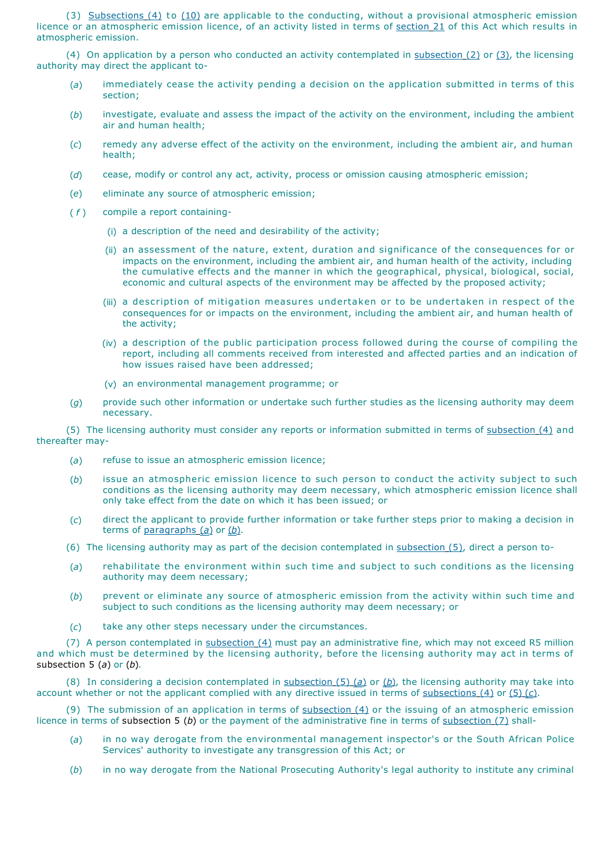(3) Subsections (4) to (10) are applicable to the conducting, without a provisional atmospheric emission licence or an atmospheric emission licence, of an activity listed in terms of section 21 of this Act which results in atmospheric emission.

(4) On application by a person who conducted an activity contemplated in subsection (2) or (3), the licensing authority may direct the applicant to-

- (*a*) immediately cease the activity pending a decision on the application submitted in terms of this section;
- (*b*) investigate, evaluate and assess the impact of the activity on the environment, including the ambient air and human health;
- (*c*) remedy any adverse effect of the activity on the environment, including the ambient air, and human health;
- (*d*) cease, modify or control any act, activity, process or omission causing atmospheric emission;
- (*e*) eliminate any source of atmospheric emission;
- ( *f* ) compile a report containing-
	- (i) a description of the need and desirability of the activity;
	- (ii) an assessment of the nature, extent, duration and significance of the consequences for or impacts on the environment, including the ambient air, and human health of the activity, including the cumulative effects and the manner in which the geographical, physical, biological, social, economic and cultural aspects of the environment may be affected by the proposed activity;
	- (iii) a description of mitigation measures undertaken or to be undertaken in respect of the consequences for or impacts on the environment, including the ambient air, and human health of the activity;
	- (iv) a description of the public participation process followed during the course of compiling the report, including all comments received from interested and affected parties and an indication of how issues raised have been addressed;
	- (v) an environmental management programme; or
- (*g*) provide such other information or undertake such further studies as the licensing authority may deem necessary.

(5) The licensing authority must consider any reports or information submitted in terms of subsection (4) and thereafter may-

- (*a*) refuse to issue an atmospheric emission licence;
- (*b*) issue an atmospheric emission licence to such person to conduct the activity subject to such conditions as the licensing authority may deem necessary, which atmospheric emission licence shall only take effect from the date on which it has been issued; or
- (*c*) direct the applicant to provide further information or take further steps prior to making a decision in terms of paragraphs (*a*) or (*b*).
- (6) The licensing authority may as part of the decision contemplated in subsection (5), direct a person to-
- (*a*) rehabilitate the environment within such time and subject to such conditions as the licensing authority may deem necessary;
- (*b*) prevent or eliminate any source of atmospheric emission from the activity within such time and subject to such conditions as the licensing authority may deem necessary; or
- (*c*) take any other steps necessary under the circumstances.

(7) A person contemplated in subsection (4) must pay an administrative fine, which may not exceed R5 million and which must be determined by the licensing authority, before the licensing authority may act in terms of subsection 5 (*a*) or (*b*).

(8) In considering a decision contemplated in subsection (5) (*a*) or (*b*), the licensing authority may take into account whether or not the applicant complied with any directive issued in terms of subsections (4) or (5) (*c*).

(9) The submission of an application in terms of  $subsection(4)$  or the issuing of an atmospheric emission licence in terms of subsection 5 (*b*) or the payment of the administrative fine in terms of subsection (7) shall-

- (*a*) in no way derogate from the environmental management inspector's or the South African Police Services' authority to investigate any transgression of this Act; or
- (*b*) in no way derogate from the National Prosecuting Authority's legal authority to institute any criminal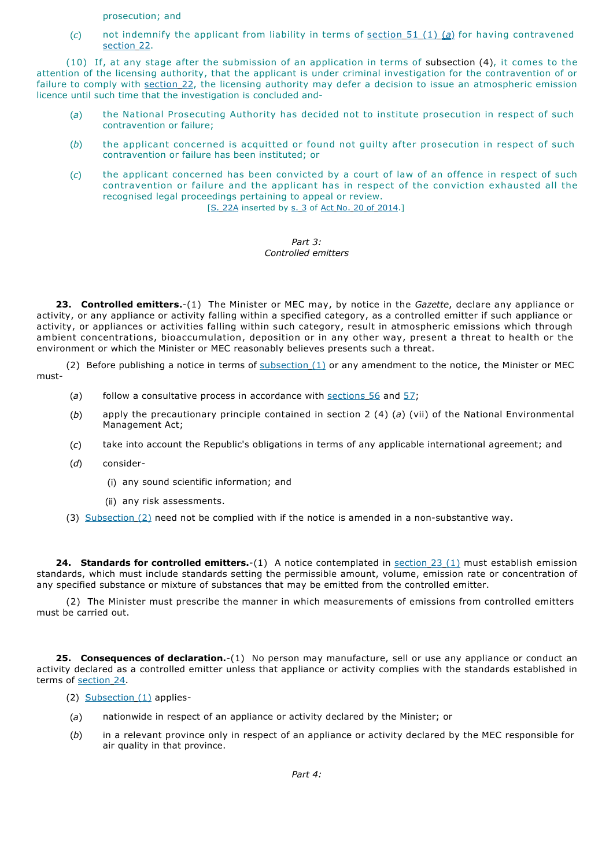prosecution; and

(*c*) not indemnify the applicant from liability in terms of section 51 (1) (*a*) for having contravened section 22.

(10) If, at any stage after the submission of an application in terms of subsection (4), it comes to the attention of the licensing authority, that the applicant is under criminal investigation for the contravention of or failure to comply with section 22, the licensing authority may defer a decision to issue an atmospheric emission licence until such time that the investigation is concluded and-

- (*a*) the National Prosecuting Authority has decided not to institute prosecution in respect of such contravention or failure;
- (*b*) the applicant concerned is acquitted or found not guilty after prosecution in respect of such contravention or failure has been instituted; or
- (*c*) the applicant concerned has been convicted by a court of law of an offence in respect of such contravention or failure and the applicant has in respect of the conviction exhausted all the recognised legal proceedings pertaining to appeal or review.

[S. 22A inserted by s. 3 of Act No. 20 of 2014.]

### *Part 3: Controlled emitters*

**23. Controlled emitters.**-(1) The Minister or MEC may, by notice in the *Gazette*, declare any appliance or activity, or any appliance or activity falling within a specified category, as a controlled emitter if such appliance or activity, or appliances or activities falling within such category, result in atmospheric emissions which through ambient concentrations, bioaccumulation, deposition or in any other way, present a threat to health or the environment or which the Minister or MEC reasonably believes presents such a threat.

(2) Before publishing a notice in terms of  $subsection(1)$  or any amendment to the notice, the Minister or MEC must-

- (a) follow a consultative process in accordance with sections 56 and 57;
- (*b*) apply the precautionary principle contained in section 2 (4) (*a*) (vii) of the National Environmental Management Act;
- (*c*) take into account the Republic's obligations in terms of any applicable international agreement; and
- (*d*) consider-
	- (i) any sound scientific information; and
	- (ii) any risk assessments.
- (3) Subsection (2) need not be complied with if the notice is amended in a non-substantive way.

**24. Standards for controlled emitters.**-(1) A notice contemplated in section 23 (1) must establish emission standards, which must include standards setting the permissible amount, volume, emission rate or concentration of any specified substance or mixture of substances that may be emitted from the controlled emitter.

(2) The Minister must prescribe the manner in which measurements of emissions from controlled emitters must be carried out.

**25. Consequences of declaration.**-(1) No person may manufacture, sell or use any appliance or conduct an activity declared as a controlled emitter unless that appliance or activity complies with the standards established in terms of section 24.

- (2) Subsection (1) applies-
- (*a*) nationwide in respect of an appliance or activity declared by the Minister; or
- (*b*) in a relevant province only in respect of an appliance or activity declared by the MEC responsible for air quality in that province.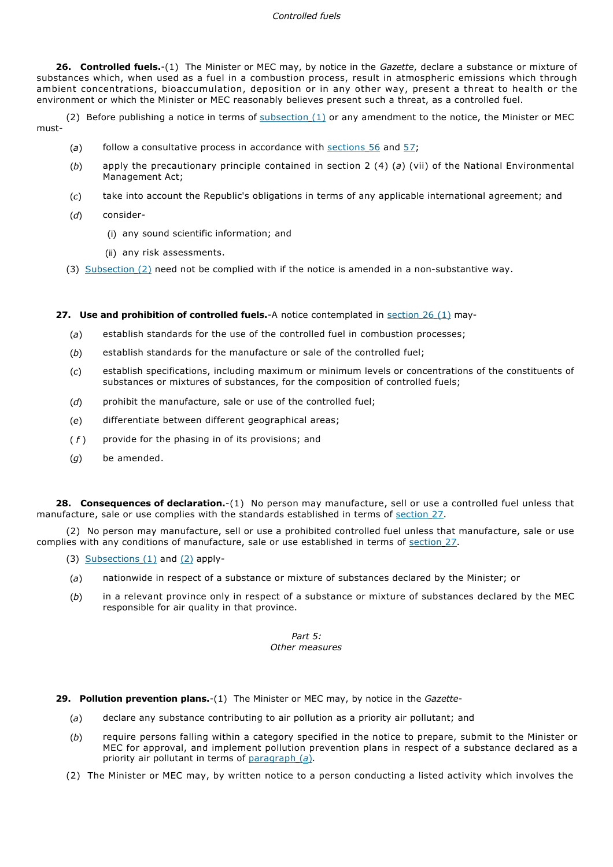## *Controlled fuels*

**26. Controlled fuels.**-(1) The Minister or MEC may, by notice in the *Gazette*, declare a substance or mixture of substances which, when used as a fuel in a combustion process, result in atmospheric emissions which through ambient concentrations, bioaccumulation, deposition or in any other way, present a threat to health or the environment or which the Minister or MEC reasonably believes present such a threat, as a controlled fuel.

(2) Before publishing a notice in terms of  $subsection(1)$  or any amendment to the notice, the Minister or MEC must-

- (*a*) follow a consultative process in accordance with sections 56 and 57;
- (*b*) apply the precautionary principle contained in section 2 (4) (*a*) (vii) of the National Environmental Management Act;
- (*c*) take into account the Republic's obligations in terms of any applicable international agreement; and
- (*d*) consider-
	- (i) any sound scientific information; and
	- (ii) any risk assessments.
- (3) Subsection (2) need not be complied with if the notice is amended in a non-substantive way.

**27. Use and prohibition of controlled fuels.**-A notice contemplated in section 26 (1) may-

- (*a*) establish standards for the use of the controlled fuel in combustion processes;
- (*b*) establish standards for the manufacture or sale of the controlled fuel;
- (*c*) establish specifications, including maximum or minimum levels or concentrations of the constituents of substances or mixtures of substances, for the composition of controlled fuels;
- (d) prohibit the manufacture, sale or use of the controlled fuel;
- (*e*) differentiate between different geographical areas;
- ( *f* ) provide for the phasing in of its provisions; and
- (*g*) be amended.

**28. Consequences of declaration.**-(1) No person may manufacture, sell or use a controlled fuel unless that manufacture, sale or use complies with the standards established in terms of section 27.

(2) No person may manufacture, sell or use a prohibited controlled fuel unless that manufacture, sale or use complies with any conditions of manufacture, sale or use established in terms of section 27.

- (3) Subsections  $(1)$  and  $(2)$  apply-
- (*a*) nationwide in respect of a substance or mixture of substances declared by the Minister; or
- (*b*) in a relevant province only in respect of a substance or mixture of substances declared by the MEC responsible for air quality in that province.

## *Part 5: Other measures*

- **29. Pollution prevention plans.**-(1) The Minister or MEC may, by notice in the *Gazette*
	- (*a*) declare any substance contributing to air pollution as a priority air pollutant; and
	- (*b*) require persons falling within a category specified in the notice to prepare, submit to the Minister or MEC for approval, and implement pollution prevention plans in respect of a substance declared as a priority air pollutant in terms of paragraph (*a*).
	- (2) The Minister or MEC may, by written notice to a person conducting a listed activity which involves the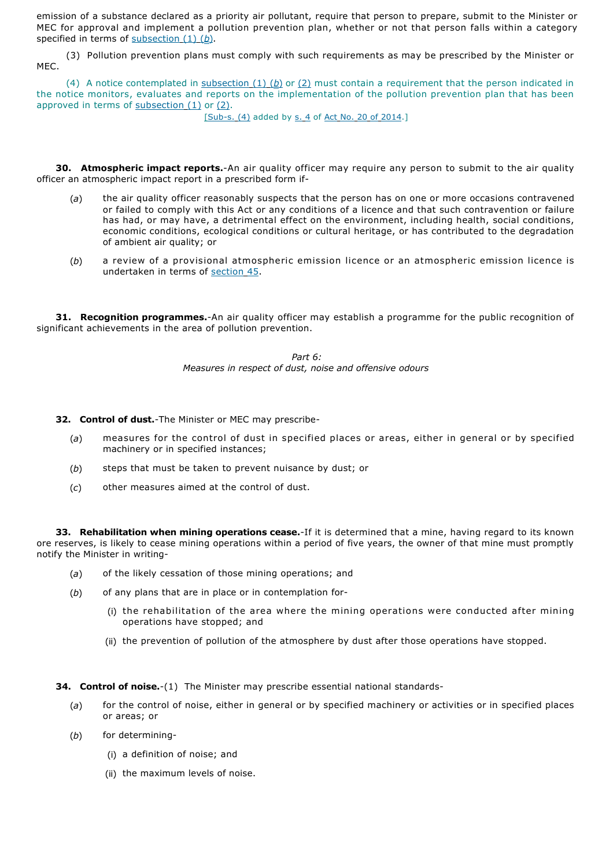emission of a substance declared as a priority air pollutant, require that person to prepare, submit to the Minister or MEC for approval and implement a pollution prevention plan, whether or not that person falls within a category specified in terms of subsection (1) (b).

(3) Pollution prevention plans must comply with such requirements as may be prescribed by the Minister or MEC.

(4) A notice contemplated in subsection (1) (*b*) or (2) must contain a requirement that the person indicated in the notice monitors, evaluates and reports on the implementation of the pollution prevention plan that has been approved in terms of  $subsection(1)$  or  $(2)$ .

[Sub-s. (4) added by s. 4 of Act No. 20 of 2014.]

**30. Atmospheric impact reports.**-An air quality officer may require any person to submit to the air quality officer an atmospheric impact report in a prescribed form if-

- (*a*) the air quality officer reasonably suspects that the person has on one or more occasions contravened or failed to comply with this Act or any conditions of a licence and that such contravention or failure has had, or may have, a detrimental effect on the environment, including health, social conditions, economic conditions, ecological conditions or cultural heritage, or has contributed to the degradation of ambient air quality; or
- (*b*) a review of a provisional atmospheric emission licence or an atmospheric emission licence is undertaken in terms of section 45.

**31. Recognition programmes.**-An air quality officer may establish a programme for the public recognition of significant achievements in the area of pollution prevention.

> *Part 6: Measures in respect of dust, noise and offensive odours*

**32. Control of dust.**-The Minister or MEC may prescribe-

- (*a*) measures for the control of dust in specified places or areas, either in general or by specified machinery or in specified instances;
- (*b*) steps that must be taken to prevent nuisance by dust; or
- (*c*) other measures aimed at the control of dust.

**33. Rehabilitation when mining operations cease.**-If it is determined that a mine, having regard to its known ore reserves, is likely to cease mining operations within a period of five years, the owner of that mine must promptly notify the Minister in writing-

- (*a*) of the likely cessation of those mining operations; and
- (*b*) of any plans that are in place or in contemplation for-
	- (i) the rehabilitation of the area where the mining operations were conducted a fter mining operations have stopped; and
	- (ii) the prevention of pollution of the atmosphere by dust after those operations have stopped.

**34. Control of noise.**-(1) The Minister may prescribe essential national standards-

- (*a*) for the control of noise, either in general or by specified machinery or activities or in specified places or areas; or
- (*b*) for determining-
	- (i) a definition of noise; and
	- (ii) the maximum levels of noise.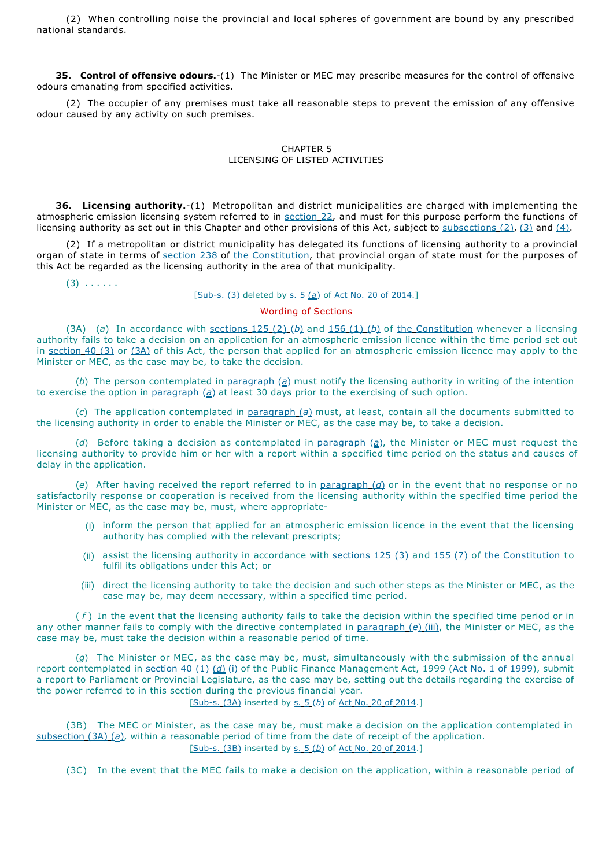(2) When controlling noise the provincial and local spheres of government are bound by any prescribed national standards.

**35. Control of offensive odours.**-(1) The Minister or MEC may prescribe measures for the control of offensive odours emanating from specified activities.

(2) The occupier of any premises must take all reasonable steps to prevent the emission of any offensive odour caused by any activity on such premises.

## CHAPTER 5 LICENSING OF LISTED ACTIVITIES

**36. Licensing authority.**-(1) Metropolitan and district municipalities are charged with implementing the atmospheric emission licensing system referred to in section 22, and must for this purpose perform the functions of licensing authority as set out in this Chapter and other provisions of this Act, subject to subsections (2), (3) and (4).

(2) If a metropolitan or district municipality has delegated its functions of licensing authority to a provincial organ of state in terms of section 238 of the Constitution, that provincial organ of state must for the purposes of this Act be regarded as the licensing authority in the area of that municipality.

 $(3)$  . . . . . .

## [Sub-s. (3) deleted by s. 5 (*a*) of Act No. 20 of 2014.]

# Wording of Sections

(3A) (*a*) In accordance with sections  $125(2)(b)$  and  $156(1)(b)$  of the Constitution whenever a licensing authority fails to take a decision on an application for an atmospheric emission licence within the time period set out in section 40 (3) or (3A) of this Act, the person that applied for an atmospheric emission licence may apply to the Minister or MEC, as the case may be, to take the decision.

(*b*) The person contemplated in paragraph (*a*) must notify the licensing authority in writing of the intention to exercise the option in paragraph (*a*) at least 30 days prior to the exercising of such option.

(*c*) The application contemplated in paragraph (*a*) must, at least, contain all the documents submitted to the licensing authority in order to enable the Minister or MEC, as the case may be, to take a decision.

(*d*) Before taking a decision as contemplated in paragraph (*a*), the Minister or MEC must request the licensing authority to provide him or her with a report within a specified time period on the status and causes of delay in the application.

(*e*) After having received the report referred to in paragraph (*d*) or in the event that no response or no satisfactorily response or cooperation is received from the licensing authority within the specified time period the Minister or MEC, as the case may be, must, where appropriate-

- (i) inform the person that applied for an atmospheric emission licence in the event that the licensing authority has complied with the relevant prescripts;
- (ii) assist the licensing authority in accordance with sections 125 (3) and 155 (7) of the Constitution to fulfil its obligations under this Act; or
- (iii) direct the licensing authority to take the decision and such other steps as the Minister or MEC, as the case may be, may deem necessary, within a specified time period.

( *f* ) In the event that the licensing authority fails to take the decision within the specified time period or in any other manner fails to comply with the directive contemplated in paragraph (*e*) (iii), the Minister or MEC, as the case may be, must take the decision within a reasonable period of time.

(*g*) The Minister or MEC, as the case may be, must, simultaneously with the submission of the annual report contemplated in section 40 (1) (*d*) (i) of the Public Finance Management Act, 1999 (Act No. 1 of 1999), submit a report to Parliament or Provincial Legislature, as the case may be, setting out the details regarding the exercise of the power referred to in this section during the previous financial year.

[Sub-s. (3A) inserted by s. 5 (*b*) of Act No. 20 of 2014.]

(3B) The MEC or Minister, as the case may be, must make a decision on the application contemplated in subsection (3A) (a), within a reasonable period of time from the date of receipt of the application. [Sub-s. (3B) inserted by s. 5 (*b*) of Act No. 20 of 2014.]

(3C) In the event that the MEC fails to make a decision on the application, within a reasonable period of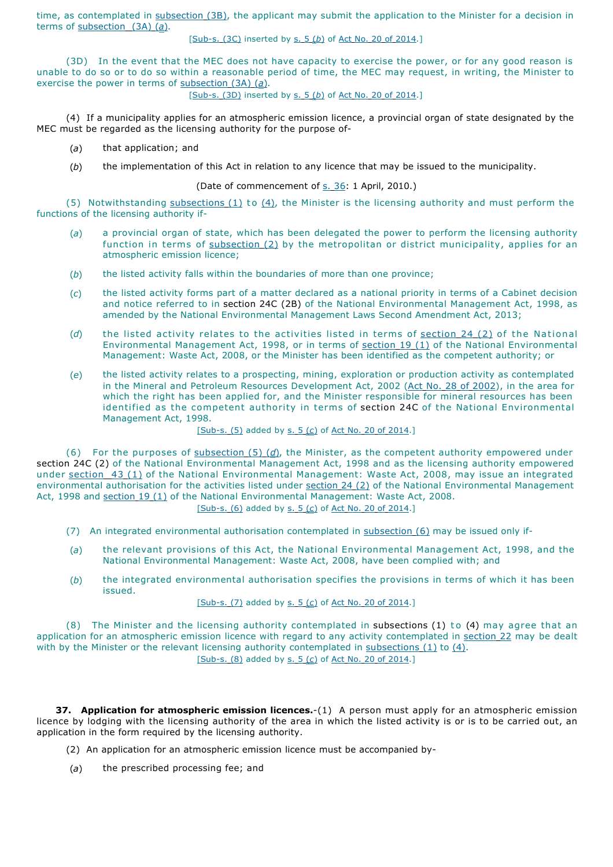time, as contemplated in subsection (3B), the applicant may submit the application to the Minister for a decision in terms of subsection (3A) (*a*).

# [Sub-s. (3C) inserted by s. 5 (*b*) of Act No. 20 of 2014.]

(3D) In the event that the MEC does not have capacity to exercise the power, or for any good reason is unable to do so or to do so within a reasonable period of time, the MEC may request, in writing, the Minister to exercise the power in terms of subsection (3A) (*a*).

[Sub-s. (3D) inserted by s. 5 (*b*) of Act No. 20 of 2014.]

(4) If a municipality applies for an atmospheric emission licence, a provincial organ of state designated by the MEC must be regarded as the licensing authority for the purpose of-

- (*a*) that application; and
- (*b*) the implementation of this Act in relation to any licence that may be issued to the municipality.

## (Date of commencement of s. 36: 1 April, 2010.)

(5) Notwithstanding subsections  $(1)$  to  $(4)$ , the Minister is the licensing authority and must perform the functions of the licensing authority if-

- (*a*) a provincial organ of state, which has been delegated the power to perform the licensing authority function in terms of  $subsection (2)$  by the metropolitan or district municipality, applies for an atmospheric emission licence;
- (*b*) the listed activity falls within the boundaries of more than one province;
- (*c*) the listed activity forms part of a matter declared as a national priority in terms of a Cabinet decision and notice referred to in section 24C (2B) of the National Environmental Management Act, 1998, as amended by the National Environmental Management Laws Second Amendment Act, 2013;
- (d) the listed activity relates to the activities listed in terms of section 24 (2) of the National Environmental Management Act, 1998, or in terms of section 19 (1) of the National Environmental Management: Waste Act, 2008, or the Minister has been identified as the competent authority; or
- (*e*) the listed activity relates to a prospecting, mining, exploration or production activity as contemplated in the Mineral and Petroleum Resources Development Act, 2002 (Act No. 28 of 2002), in the area for which the right has been applied for, and the Minister responsible for mineral resources has been identified as the competent authority in terms of section 24C of the National Environmental Management Act, 1998.

#### [Sub-s. (5) added by s. 5 (*c*) of Act No. 20 of 2014.]

(6) For the purposes of subsection (5) (*d*), the Minister, as the competent authority empowered under section 24C (2) of the National Environmental Management Act, 1998 and as the licensing authority empowered under section 43 (1) of the National Environmental Management: Waste Act, 2008, may issue an integrated environmental authorisation for the activities listed under section 24 (2) of the National Environmental Management Act, 1998 and section 19 (1) of the National Environmental Management: Waste Act, 2008.

[Sub-s. (6) added by s. 5 (*c*) of Act No. 20 of 2014.]

- (7) An integrated environmental authorisation contemplated in subsection (6) may be issued only if-
- (*a*) the relevant provisions of this Act, the National Environmental Management Act, 1998, and the National Environmental Management: Waste Act, 2008, have been complied with; and
- (*b*) the integrated environmental authorisation specifies the provisions in terms of which it has been issued.

## [Sub-s. (7) added by s. 5 (*c*) of Act No. 20 of 2014.]

(8) The Minister and the licensing authority contemplated in subsections (1) to (4) may agree that an application for an atmospheric emission licence with regard to any activity contemplated in section 22 may be dealt with by the Minister or the relevant licensing authority contemplated in subsections  $(1)$  to  $(4)$ . [Sub-s. (8) added by s. 5 (*c*) of Act No. 20 of 2014.]

**37. Application for atmospheric emission licences.**-(1) A person must apply for an atmospheric emission licence by lodging with the licensing authority of the area in which the listed activity is or is to be carried out, an application in the form required by the licensing authority.

- (2) An application for an atmospheric emission licence must be accompanied by-
- (*a*) the prescribed processing fee; and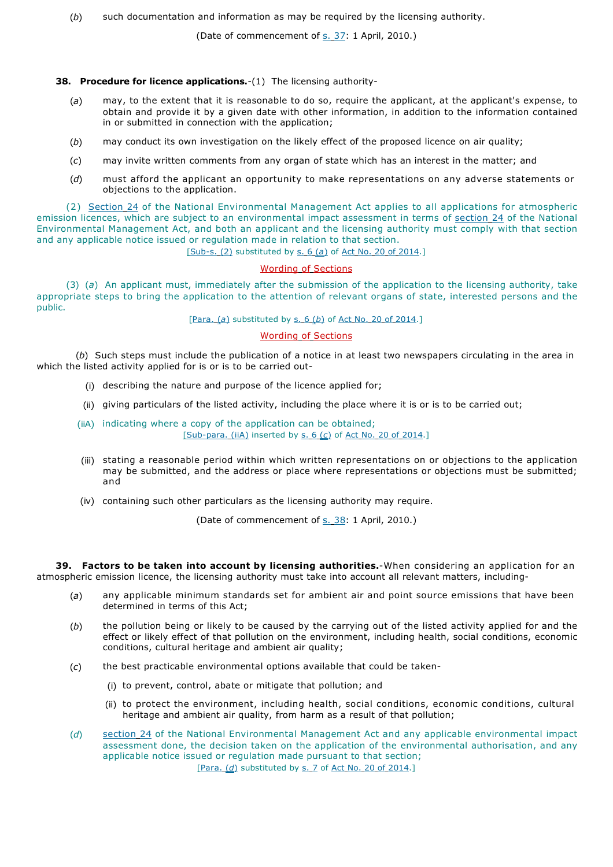(*b*) such documentation and information as may be required by the licensing authority.

(Date of commencement of s. 37: 1 April, 2010.)

## **38. Procedure for licence applications.**-(1) The licensing authority-

- (*a*) may, to the extent that it is reasonable to do so, require the applicant, at the applicant's expense, to obtain and provide it by a given date with other information, in addition to the information contained in or submitted in connection with the application;
- (*b*) may conduct its own investigation on the likely effect of the proposed licence on air quality;
- (*c*) may invite written comments from any organ of state which has an interest in the matter; and
- (*d*) must afford the applicant an opportunity to make representations on any adverse statements or objections to the application.

(2) Section 24 of the National Environmental Management Act applies to all applications for atmospheric emission licences, which are subject to an environmental impact assessment in terms of section 24 of the National Environmental Management Act, and both an applicant and the licensing authority must comply with that section and any applicable notice issued or regulation made in relation to that section.

[Sub-s. (2) substituted by s. 6 (*a*) of Act No. 20 of 2014.]

## Wording of Sections

(3) (*a*) An applicant must, immediately after the submission of the application to the licensing authority, take appropriate steps to bring the application to the attention of relevant organs of state, interested persons and the public.

## [Para. (*a*) substituted by s. 6 (*b*) of Act No. 20 of 2014.]

## Wording of Sections

(*b*) Such steps must include the publication of a notice in at least two newspapers circulating in the area in which the listed activity applied for is or is to be carried out-

- (i) describing the nature and purpose of the licence applied for;
- (ii) giving particulars of the listed activity, including the place where it is or is to be carried out;
- (iiA) indicating where a copy of the application can be obtained; [Sub-para. (iiA) inserted by s. 6 (*c*) of Act No. 20 of 2014.]
- (iii) stating a reasonable period within which written representations on or objections to the application may be submitted, and the address or place where representations or objections must be submitted; and
- (iv) containing such other particulars as the licensing authority may require.

(Date of commencement of s. 38: 1 April, 2010.)

**39. Factors to be taken into account by licensing authorities.**-When considering an application for an atmospheric emission licence, the licensing authority must take into account all relevant matters, including-

- (*a*) any applicable minimum standards set for ambient air and point source emissions that have been determined in terms of this Act;
- (*b*) the pollution being or likely to be caused by the carrying out of the listed activity applied for and the effect or likely effect of that pollution on the environment, including health, social conditions, economic conditions, cultural heritage and ambient air quality;
- (*c*) the best practicable environmental options available that could be taken-
	- (i) to prevent, control, abate or mitigate that pollution; and
	- (ii) to protect the environment, including health, social conditions, economic conditions, cultural heritage and ambient air quality, from harm as a result of that pollution;
- (*d*) section 24 of the National Environmental Management Act and any applicable environmental impact assessment done, the decision taken on the application of the environmental authorisation, and any applicable notice issued or regulation made pursuant to that section; [Para. (d) substituted by s. 7 of Act No. 20 of 2014.]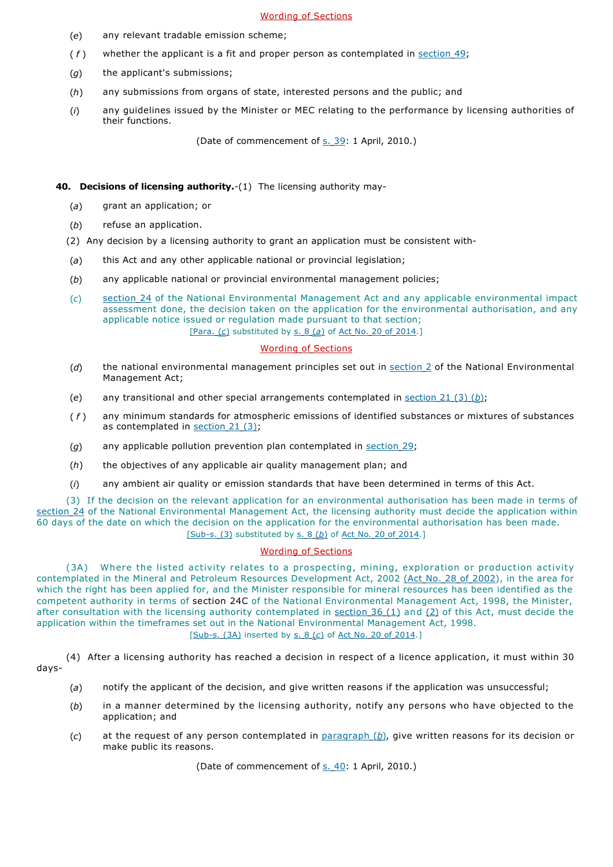## Wording of Sections

- (*e*) any relevant tradable emission scheme;
- (*f*) whether the applicant is a fit and proper person as contemplated in section 49;
- (*g*) the applicant's submissions;
- (*h*) any submissions from organs of state, interested persons and the public; and
- (*i*) any guidelines issued by the Minister or MEC relating to the performance by licensing authorities of their functions.

(Date of commencement of s. 39: 1 April, 2010.)

## **40. Decisions of licensing authority.**-(1) The licensing authority may-

- (*a*) grant an application; or
- (*b*) refuse an application.
- (2) Any decision by a licensing authority to grant an application must be consistent with-
- (*a*) this Act and any other applicable national or provincial legislation;
- (*b*) any applicable national or provincial environmental management policies;
- (*c*) section 24 of the National Environmental Management Act and any applicable environmental impact assessment done, the decision taken on the application for the environmental authorisation, and any applicable notice issued or regulation made pursuant to that section; [Para. (*c*) substituted by s. 8 (*a*) of Act No. 20 of 2014.]

## Wording of Sections

- (*d*) the national environmental management principles set out in section 2 of the National Environmental Management Act;
- (*e*) any transitional and other special arrangements contemplated in section 21 (3) (*b*);
- ( *f* ) any minimum standards for atmospheric emissions of identified substances or mixtures of substances as contemplated in section 21 (3);
- (g) any applicable pollution prevention plan contemplated in section 29;
- (*h*) the objectives of any applicable air quality management plan; and
- (*i*) any ambient air quality or emission standards that have been determined in terms of this Act.

(3) If the decision on the relevant application for an environmental authorisation has been made in terms of section 24 of the National Environmental Management Act, the licensing authority must decide the application within 60 days of the date on which the decision on the application for the environmental authorisation has been made. [Sub-s. (3) substituted by s. 8 (*b*) of Act No. 20 of 2014.]

# Wording of Sections

(3A) Where the listed activity relates to a prospecting, mining, exploration or production activity contemplated in the Mineral and Petroleum Resources Development Act, 2002 (Act No. 28 of 2002), in the area for which the right has been applied for, and the Minister responsible for mineral resources has been identified as the competent authority in terms of section 24C of the National Environmental Management Act, 1998, the Minister, after consultation with the licensing authority contemplated in section  $36(1)$  and  $(2)$  of this Act, must decide the application within the timeframes set out in the National Environmental Management Act, 1998. [Sub-s. (3A) inserted by s. 8 (*c*) of Act No. 20 of 2014.]

(4) After a licensing authority has reached a decision in respect of a licence application, it must within 30 days-

- (*a*) notify the applicant of the decision, and give written reasons if the application was unsuccessful;
- (*b*) in a manner determined by the licensing authority, notify any persons who have objected to the application; and
- (*c*) at the request of any person contemplated in paragraph (*b*), give written reasons for its decision or make public its reasons.

(Date of commencement of s. 40: 1 April, 2010.)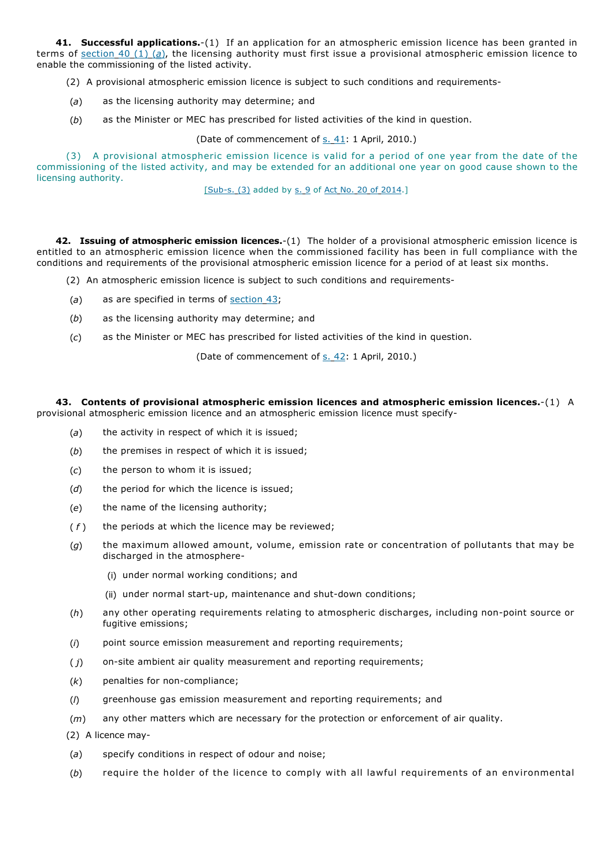**41. Successful applications.**-(1) If an application for an atmospheric emission licence has been granted in terms of section 40 (1) (*a*), the licensing authority must first issue a provisional atmospheric emission licence to enable the commissioning of the listed activity.

(2) A provisional atmospheric emission licence is subject to such conditions and requirements-

- (*a*) as the licensing authority may determine; and
- (*b*) as the Minister or MEC has prescribed for listed activities of the kind in question.

(Date of commencement of s. 41: 1 April, 2010.)

(3) A provisional atmospheric emission licence is valid for a period of one year from the date of the commissioning of the listed activity, and may be extended for an additional one year on good cause shown to the licensing authority.

[Sub-s. (3) added by s. 9 of Act No. 20 of 2014.]

**42. Issuing of atmospheric emission licences.**-(1) The holder of a provisional atmospheric emission licence is entitled to an atmospheric emission licence when the commissioned facility has been in full compliance with the conditions and requirements of the provisional atmospheric emission licence for a period of at least six months.

- (2) An atmospheric emission licence is subject to such conditions and requirements-
- (*a*) as are specified in terms of section 43;
- (*b*) as the licensing authority may determine; and
- (*c*) as the Minister or MEC has prescribed for listed activities of the kind in question.

(Date of commencement of s. 42: 1 April, 2010.)

**43. Contents of provisional atmospheric emission licences and atmospheric emission licences.**-(1) A provisional atmospheric emission licence and an atmospheric emission licence must specify-

- (*a*) the activity in respect of which it is issued;
- (*b*) the premises in respect of which it is issued;
- (*c*) the person to whom it is issued;
- (*d*) the period for which the licence is issued;
- (*e*) the name of the licensing authority;
- ( *f* ) the periods at which the licence may be reviewed;
- (*g*) the maximum allowed amount, volume, emission rate or concentration of pollutants that may be discharged in the atmosphere-
	- (i) under normal working conditions; and
	- (ii) under normal start-up, maintenance and shut-down conditions;
- (*h*) any other operating requirements relating to atmospheric discharges, including non-point source or fugitive emissions;
- (*i*) point source emission measurement and reporting requirements;
- ( *j*) on-site ambient air quality measurement and reporting requirements;
- (*k*) penalties for non-compliance;
- (*l*) greenhouse gas emission measurement and reporting requirements; and
- (*m*) any other matters which are necessary for the protection or enforcement of air quality.
- (2) A licence may-
- (*a*) specify conditions in respect of odour and noise;
- (*b*) require the holder of the licence to comply with all lawful requirements of an environmental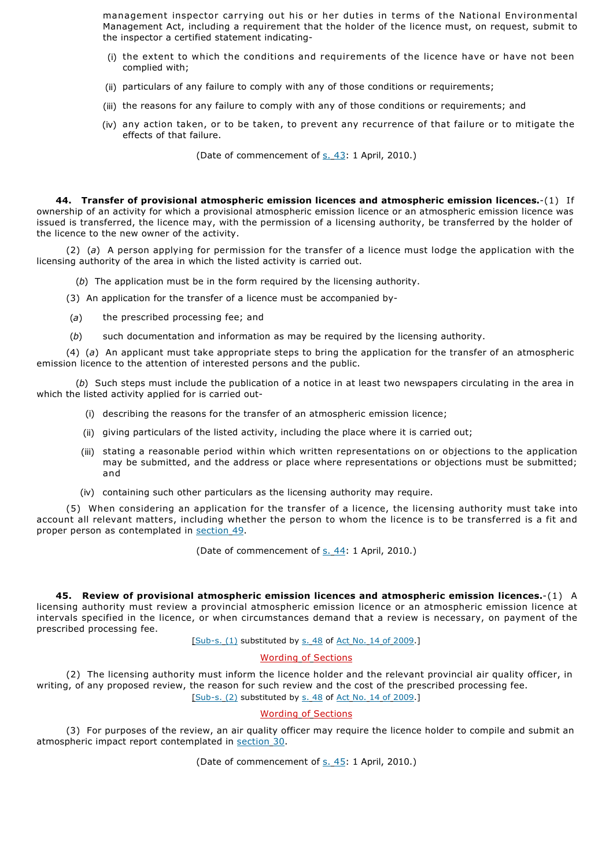management inspector carrying out his or her duties in terms of the National Environmental Management Act, including a requirement that the holder of the licence must, on request, submit to the inspector a certified statement indicating-

- (i) the extent to which the conditions and requirements of the licence have or have not been complied with;
- (ii) particulars of any failure to comply with any of those conditions or requirements;
- (iii) the reasons for any failure to comply with any of those conditions or requirements; and
- (iv) any action taken, or to be taken, to prevent any recurrence of that failure or to mitigate the effects of that failure.

(Date of commencement of s. 43: 1 April, 2010.)

**44. Transfer of provisional atmospheric emission licences and atmospheric emission licences.**-(1) If ownership of an activity for which a provisional atmospheric emission licence or an atmospheric emission licence was issued is transferred, the licence may, with the permission of a licensing authority, be transferred by the holder of the licence to the new owner of the activity.

(2) (*a*) A person applying for permission for the transfer of a licence must lodge the application with the licensing authority of the area in which the listed activity is carried out.

(*b*) The application must be in the form required by the licensing authority.

- (3) An application for the transfer of a licence must be accompanied by-
- (*a*) the prescribed processing fee; and
- (*b*) such documentation and information as may be required by the licensing authority.

(4) (*a*) An applicant must take appropriate steps to bring the application for the transfer of an atmospheric emission licence to the attention of interested persons and the public.

(*b*) Such steps must include the publication of a notice in at least two newspapers circulating in the area in which the listed activity applied for is carried out-

- (i) describing the reasons for the transfer of an atmospheric emission licence;
- (ii) giving particulars of the listed activity, including the place where it is carried out;
- (iii) stating a reasonable period within which written representations on or objections to the application may be submitted, and the address or place where representations or objections must be submitted; and
- (iv) containing such other particulars as the licensing authority may require.

(5) When considering an application for the transfer of a licence, the licensing authority must take into account all relevant matters, including whether the person to whom the licence is to be transferred is a fit and proper person as contemplated in section 49.

(Date of commencement of s. 44: 1 April, 2010.)

**45. Review of provisional atmospheric emission licences and atmospheric emission licences.**-(1) A licensing authority must review a provincial atmospheric emission licence or an atmospheric emission licence at intervals specified in the licence, or when circumstances demand that a review is necessary, on payment of the prescribed processing fee.

[Sub-s. (1) substituted by s. 48 of Act No. 14 of 2009.]

## Wording of Sections

(2) The licensing authority must inform the licence holder and the relevant provincial air quality officer, in writing, of any proposed review, the reason for such review and the cost of the prescribed processing fee. [Sub-s. (2) substituted by s. 48 of Act No. 14 of 2009.]

## Wording of Sections

(3) For purposes of the review, an air quality officer may require the licence holder to compile and submit an atmospheric impact report contemplated in section 30.

(Date of commencement of s. 45: 1 April, 2010.)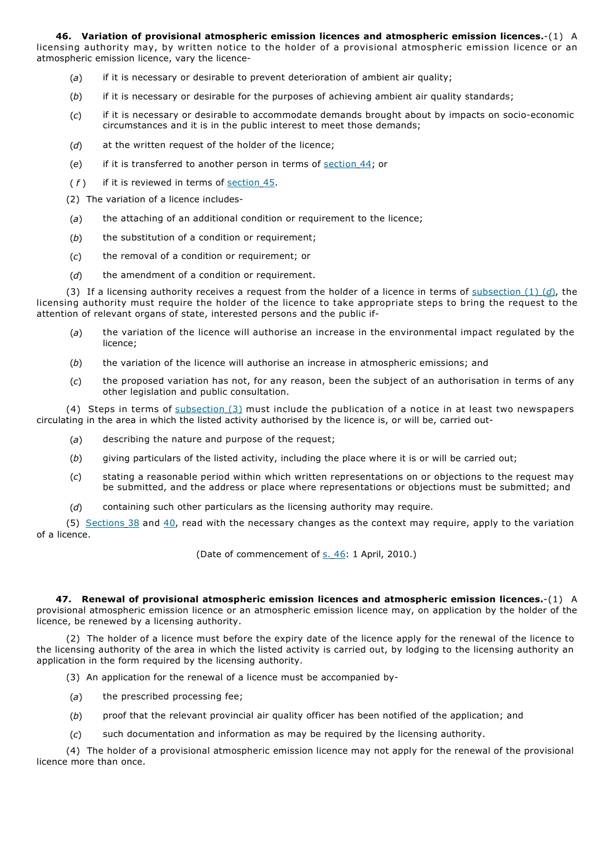**46. Variation of provisional atmospheric emission licences and atmospheric emission licences.**-(1) A licensing authority may, by written notice to the holder of a provisional atmospheric emission licence or an atmospheric emission licence, vary the licence-

- (*a*) if it is necessary or desirable to prevent deterioration of ambient air quality;
- (*b*) if it is necessary or desirable for the purposes of achieving ambient air quality standards;
- (*c*) if it is necessary or desirable to accommodate demands brought about by impacts on socio-economic circumstances and it is in the public interest to meet those demands;
- (*d*) at the written request of the holder of the licence;
- (*e*) if it is transferred to another person in terms of section 44; or
- (*f*) if it is reviewed in terms of section 45.
- (2) The variation of a licence includes-
- (*a*) the attaching of an additional condition or requirement to the licence;
- (*b*) the substitution of a condition or requirement;
- (*c*) the removal of a condition or requirement; or
- (*d*) the amendment of a condition or requirement.

(3) If a licensing authority receives a request from the holder of a licence in terms of subsection (1) (*d*), the licensing authority must require the holder of the licence to take appropriate steps to bring the request to the attention of relevant organs of state, interested persons and the public if-

- (*a*) the variation of the licence will authorise an increase in the environmental impact regulated by the licence;
- (*b*) the variation of the licence will authorise an increase in atmospheric emissions; and
- (*c*) the proposed variation has not, for any reason, been the subject of an authorisation in terms of any other legislation and public consultation.

(4) Steps in terms of subsection (3) must include the publication of a notice in at least two newspapers circulating in the area in which the listed activity authorised by the licence is, or will be, carried out-

- (*a*) describing the nature and purpose of the request;
- (*b*) giving particulars of the listed activity, including the place where it is or will be carried out;
- (*c*) stating a reasonable period within which written representations on or objections to the request may be submitted, and the address or place where representations or objections must be submitted; and
- (*d*) containing such other particulars as the licensing authority may require.

(5) Sections  $38$  and  $40$ , read with the necessary changes as the context may require, apply to the variation of a licence.

(Date of commencement of s. 46: 1 April, 2010.)

**47. Renewal of provisional atmospheric emission licences and atmospheric emission licences.**-(1) A provisional atmospheric emission licence or an atmospheric emission licence may, on application by the holder of the licence, be renewed by a licensing authority.

(2) The holder of a licence must before the expiry date of the licence apply for the renewal of the licence to the licensing authority of the area in which the listed activity is carried out, by lodging to the licensing authority an application in the form required by the licensing authority.

- (3) An application for the renewal of a licence must be accompanied by-
- (*a*) the prescribed processing fee;
- (*b*) proof that the relevant provincial air quality officer has been notified of the application; and
- (*c*) such documentation and information as may be required by the licensing authority.

(4) The holder of a provisional atmospheric emission licence may not apply for the renewal of the provisional licence more than once.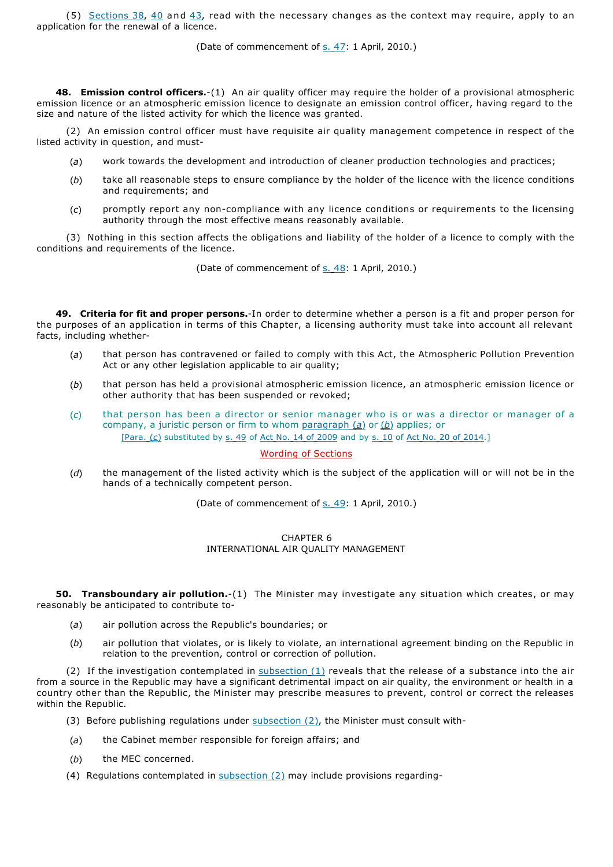(5) Sections  $38$ ,  $40$  and  $43$ , read with the necessary changes as the context may require, apply to an application for the renewal of a licence.

(Date of commencement of s. 47: 1 April, 2010.)

**48. Emission control officers.**-(1) An air quality officer may require the holder of a provisional atmospheric emission licence or an atmospheric emission licence to designate an emission control officer, having regard to the size and nature of the listed activity for which the licence was granted.

(2) An emission control officer must have requisite air quality management competence in respect of the listed activity in question, and must-

- (*a*) work towards the development and introduction of cleaner production technologies and practices;
- (*b*) take all reasonable steps to ensure compliance by the holder of the licence with the licence conditions and requirements; and
- (*c*) promptly report any non-compliance with any licence conditions or requirements to the licensing authority through the most effective means reasonably available.

(3) Nothing in this section affects the obligations and liability of the holder of a licence to comply with the conditions and requirements of the licence.

(Date of commencement of s. 48: 1 April, 2010.)

**49. Criteria for fit and proper persons.**-In order to determine whether a person is a fit and proper person for the purposes of an application in terms of this Chapter, a licensing authority must take into account all relevant facts, including whether-

- (*a*) that person has contravened or failed to comply with this Act, the Atmospheric Pollution Prevention Act or any other legislation applicable to air quality;
- (*b*) that person has held a provisional atmospheric emission licence, an atmospheric emission licence or other authority that has been suspended or revoked;
- (*c*) that person has been a director or senior manager who is or was a director or manager of a company, a juristic person or firm to whom paragraph (*a*) or (*b*) applies; or [Para. (*c*) substituted by s. 49 of Act No. 14 of 2009 and by s. 10 of Act No. 20 of 2014.]

## Wording of Sections

(*d*) the management of the listed activity which is the subject of the application will or will not be in the hands of a technically competent person.

(Date of commencement of s. 49: 1 April, 2010.)

## CHAPTER 6 INTERNATIONAL AIR QUALITY MANAGEMENT

**50. Transboundary air pollution.**-(1) The Minister may investigate any situation which creates, or may reasonably be anticipated to contribute to-

- (*a*) air pollution across the Republic's boundaries; or
- (*b*) air pollution that violates, or is likely to violate, an international agreement binding on the Republic in relation to the prevention, control or correction of pollution.

(2) If the investigation contemplated in  $subsection (1)$  reveals that the release of a substance into the air from a source in the Republic may have a significant detrimental impact on air quality, the environment or health in a country other than the Republic, the Minister may prescribe measures to prevent, control or correct the releases within the Republic.

- (3) Before publishing regulations under  $subsection(2)$ , the Minister must consult with-
- (*a*) the Cabinet member responsible for foreign affairs; and
- (*b*) the MEC concerned.
- (4) Regulations contemplated in subsection (2) may include provisions regarding-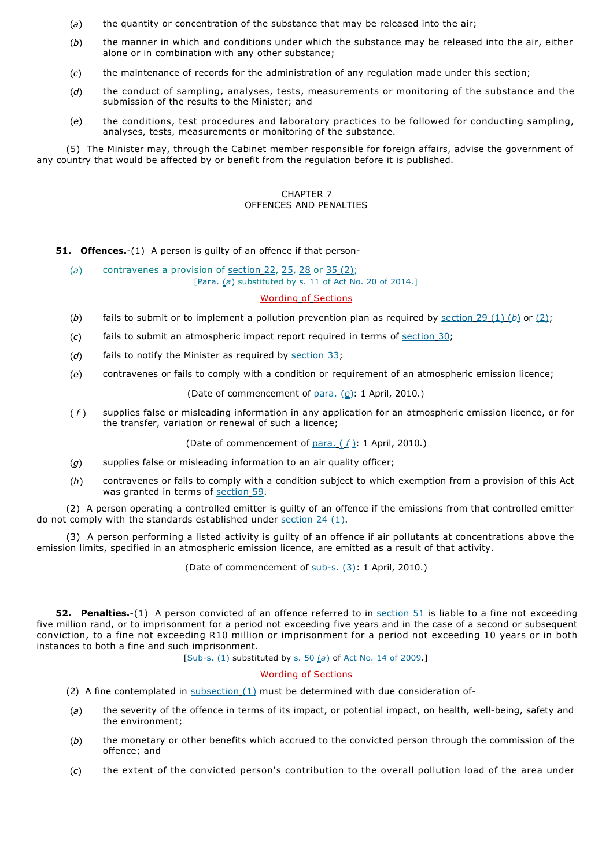- (*a*) the quantity or concentration of the substance that may be released into the air;
- (*b*) the manner in which and conditions under which the substance may be released into the air, either alone or in combination with any other substance;
- (*c*) the maintenance of records for the administration of any regulation made under this section;
- (*d*) the conduct of sampling, analyses, tests, measurements or monitoring of the substance and the submission of the results to the Minister; and
- (*e*) the conditions, test procedures and laboratory practices to be followed for conducting sampling, analyses, tests, measurements or monitoring of the substance.

(5) The Minister may, through the Cabinet member responsible for foreign affairs, advise the government of any country that would be affected by or benefit from the regulation before it is published.

## CHAPTER 7 OFFENCES AND PENALTIES

**51. Offences.**-(1) A person is guilty of an offence if that person-

(*a*) contravenes a provision of section 22, 25, 28 or 35 (2); [Para. (a) substituted by s. 11 of Act No. 20 of 2014.]

## Wording of Sections

- (*b*) fails to submit or to implement a pollution prevention plan as required by section 29 (1) (*b*) or (2);
- (*c*) fails to submit an atmospheric impact report required in terms of section 30;
- (*d*) fails to notify the Minister as required by section 33;
- (*e*) contravenes or fails to comply with a condition or requirement of an atmospheric emission licence;

## (Date of commencement of para. (*e*): 1 April, 2010.)

( *f* ) supplies false or misleading information in any application for an atmospheric emission licence, or for the transfer, variation or renewal of such a licence;

(Date of commencement of para. ( *f* ): 1 April, 2010.)

- (*g*) supplies false or misleading information to an air quality officer;
- (*h*) contravenes or fails to comply with a condition subject to which exemption from a provision of this Act was granted in terms of section 59.

(2) A person operating a controlled emitter is guilty of an offence if the emissions from that controlled emitter do not comply with the standards established under section 24 (1).

(3) A person performing a listed activity is guilty of an offence if air pollutants at concentrations above the emission limits, specified in an atmospheric emission licence, are emitted as a result of that activity.

(Date of commencement of sub-s. (3): 1 April, 2010.)

**52. Penalties.**-(1) A person convicted of an offence referred to in section 51 is liable to a fine not exceeding five million rand, or to imprisonment for a period not exceeding five years and in the case of a second or subsequent conviction, to a fine not exceeding R10 million or imprisonment for a period not exceeding 10 years or in both instances to both a fine and such imprisonment.

[Sub-s. (1) substituted by s. 50 (*a*) of Act No. 14 of 2009.]

# Wording of Sections

- (2) A fine contemplated in  $subsection(1)$  must be determined with due consideration of-
- (*a*) the severity of the offence in terms of its impact, or potential impact, on health, well-being, safety and the environment;
- (*b*) the monetary or other benefits which accrued to the convicted person through the commission of the offence; and
- (*c*) the extent of the convicted person's contribution to the overall pollution load of the area under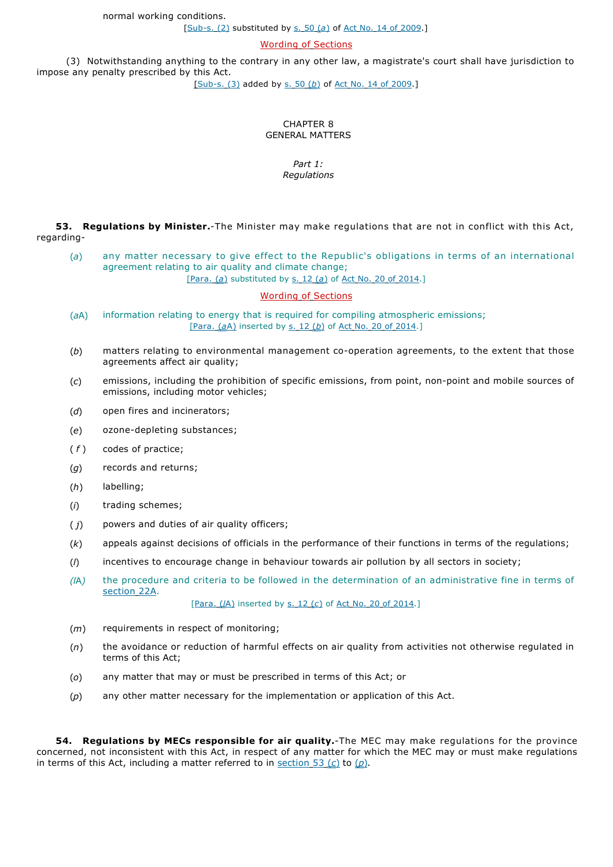[Sub-s. (2) substituted by s. 50 (*a*) of Act No. 14 of 2009.]

Wording of Sections

(3) Notwithstanding anything to the contrary in any other law, a magistrate's court shall have jurisdiction to impose any penalty prescribed by this Act.

[Sub-s. (3) added by s. 50 (*b*) of Act No. 14 of 2009.]

## CHAPTER 8 GENERAL MATTERS

## *Part 1: Regulations*

**53. Regulations by Minister.**-The Minister may make regulations that are not in conflict with this Act, regarding-

(*a*) any matter necessary to give effect to the Republic's obligations in terms of an international agreement relating to air quality and climate change; [Para. (*a*) substituted by s. 12 (*a*) of Act No. 20 of 2014.]

## Wording of Sections

- (*a*A) information relating to energy that is required for compiling atmospheric emissions; [Para. (*a*A) inserted by s. 12 (*b*) of Act No. 20 of 2014.]
- (*b*) matters relating to environmental management co-operation agreements, to the extent that those agreements affect air quality;
- (*c*) emissions, including the prohibition of specific emissions, from point, non-point and mobile sources of emissions, including motor vehicles;
- (*d*) open fires and incinerators;
- (*e*) ozone-depleting substances;
- ( *f* ) codes of practice;
- (*g*) records and returns;
- (*h*) labelling;
- (*i*) trading schemes;
- ( *j*) powers and duties of air quality officers;
- (*k*) appeals against decisions of officials in the performance of their functions in terms of the regulations;
- (*l*) incentives to encourage change in behaviour towards air pollution by all sectors in society;
- *(l*A*)* the procedure and criteria to be followed in the determination of an administrative fine in terms of section 22A.

[Para. (*l*A) inserted by s. 12 (*c*) of Act No. 20 of 2014.]

- (*m*) requirements in respect of monitoring;
- (*n*) the avoidance or reduction of harmful effects on air quality from activities not otherwise regulated in terms of this Act;
- (*o*) any matter that may or must be prescribed in terms of this Act; or
- (*p*) any other matter necessary for the implementation or application of this Act.

**54. Regulations by MECs responsible for air quality.**-The MEC may make regulations for the province concerned, not inconsistent with this Act, in respect of any matter for which the MEC may or must make regulations in terms of this Act, including a matter referred to in section 53 (c) to  $(p)$ .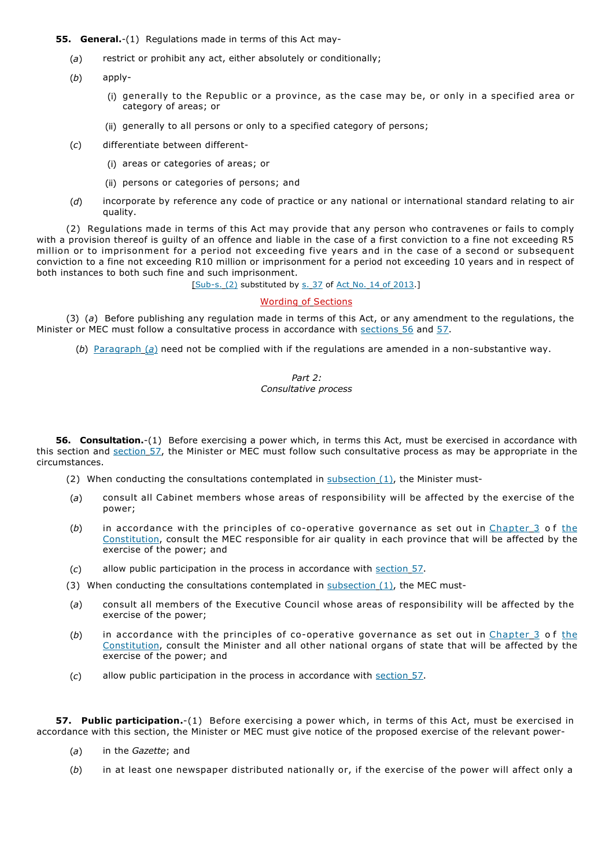**55. General.**-(1) Regulations made in terms of this Act may-

- (*a*) restrict or prohibit any act, either absolutely or conditionally;
- (*b*) apply-
	- (i) generally to the Republic or a province, as the case may be, or only in a specified area or category of areas; or
	- (ii) generally to all persons or only to a specified category of persons;
- (*c*) differentiate between different-
	- (i) areas or categories of areas; or
	- (ii) persons or categories of persons; and
- (*d*) incorporate by reference any code of practice or any national or international standard relating to air quality.

(2) Regulations made in terms of this Act may provide that any person who contravenes or fails to comply with a provision thereof is guilty of an offence and liable in the case of a first conviction to a fine not exceeding R5 million or to imprisonment for a period not exceeding five years and in the case of a second or subsequent conviction to a fine not exceeding R10 million or imprisonment for a period not exceeding 10 years and in respect of both instances to both such fine and such imprisonment.

[Sub-s. (2) substituted by s. 37 of Act No. 14 of 2013.]

## Wording of Sections

(3) (*a*) Before publishing any regulation made in terms of this Act, or any amendment to the regulations, the Minister or MEC must follow a consultative process in accordance with sections 56 and 57.

(*b*) Paragraph (*a*) need not be complied with if the regulations are amended in a non-substantive way.

## *Part 2: Consultative process*

**56. Consultation.**-(1) Before exercising a power which, in terms this Act, must be exercised in accordance with this section and section 57, the Minister or MEC must follow such consultative process as may be appropriate in the circumstances.

- (2) When conducting the consultations contemplated in  $subsection_1(1)$ , the Minister must-
- (*a*) consult all Cabinet members whose areas of responsibility will be affected by the exercise of the power;
- (b) in accordance with the principles of co-operative governance as set out in Chapter 3 of the Constitution, consult the MEC responsible for air quality in each province that will be affected by the exercise of the power; and
- (*c*) allow public participation in the process in accordance with section 57.
- (3) When conducting the consultations contemplated in  $subsection(1)$ , the MEC must-
- (*a*) consult all members of the Executive Council whose areas of responsibility will be affected by the exercise of the power;
- (b) in accordance with the principles of co-operative governance as set out in Chapter 3 of the Constitution, consult the Minister and all other national organs of state that will be affected by the exercise of the power; and
- (*c*) allow public participation in the process in accordance with section 57.

**57. Public participation.**-(1) Before exercising a power which, in terms of this Act, must be exercised in accordance with this section, the Minister or MEC must give notice of the proposed exercise of the relevant power-

- (*a*) in the *Gazette*; and
- (*b*) in at least one newspaper distributed nationally or, if the exercise of the power will affect only a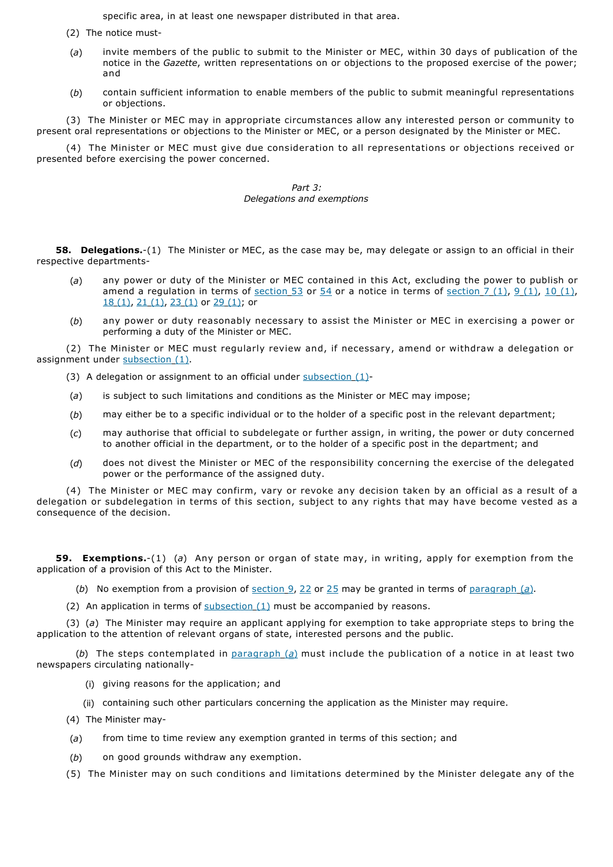specific area, in at least one newspaper distributed in that area.

- (2) The notice must-
- (*a*) invite members of the public to submit to the Minister or MEC, within 30 days of publication of the notice in the *Gazette*, written representations on or objections to the proposed exercise of the power; and
- (*b*) contain sufficient information to enable members of the public to submit meaningful representations or objections.

(3) The Minister or MEC may in appropriate circumstances allow any interested person or community to present oral representations or objections to the Minister or MEC, or a person designated by the Minister or MEC.

(4) The Minister or MEC must give due consideration to all representations or objections received or presented before exercising the power concerned.

## *Part 3: Delegations and exemptions*

**58. Delegations.**-(1) The Minister or MEC, as the case may be, may delegate or assign to an official in their respective departments-

- (*a*) any power or duty of the Minister or MEC contained in this Act, excluding the power to publish or amend a regulation in terms of section 53 or 54 or a notice in terms of section 7 (1), 9 (1), 10 (1), 18 (1), 21 (1), 23 (1) or 29 (1); or
- (*b*) any power or duty reasonably necessary to assist the Minister or MEC in exercising a power or performing a duty of the Minister or MEC.

(2) The Minister or MEC must regularly review and, if necessary, amend or withdraw a delegation or assignment under subsection (1).

- (3) A delegation or assignment to an official under  $subsection_1$ )-
- (*a*) is subject to such limitations and conditions as the Minister or MEC may impose;
- (*b*) may either be to a specific individual or to the holder of a specific post in the relevant department;
- (*c*) may authorise that official to subdelegate or further assign, in writing, the power or duty concerned to another official in the department, or to the holder of a specific post in the department; and
- (*d*) does not divest the Minister or MEC of the responsibility concerning the exercise of the delegated power or the performance of the assigned duty.

(4) The Minister or MEC may confirm, vary or revoke any decision taken by an official as a result of a delegation or subdelegation in terms of this section, subject to any rights that may have become vested as a consequence of the decision.

**59. Exemptions.**-(1) (*a*) Any person or organ of state may, in writing, apply for exemption from the application of a provision of this Act to the Minister.

(*b*) No exemption from a provision of section 9, 22 or 25 may be granted in terms of paragraph (*a*).

(2) An application in terms of subsection (1) must be accompanied by reasons.

(3) (*a*) The Minister may require an applicant applying for exemption to take appropriate steps to bring the application to the attention of relevant organs of state, interested persons and the public.

(*b*) The steps contemplated in paragraph (*a*) must include the publication of a notice in at least two newspapers circulating nationally-

- (i) giving reasons for the application; and
- (ii) containing such other particulars concerning the application as the Minister may require.
- (4) The Minister may-
- (*a*) from time to time review any exemption granted in terms of this section; and
- (*b*) on good grounds withdraw any exemption.
- (5) The Minister may on such conditions and limitations determined by the Minister delegate any of the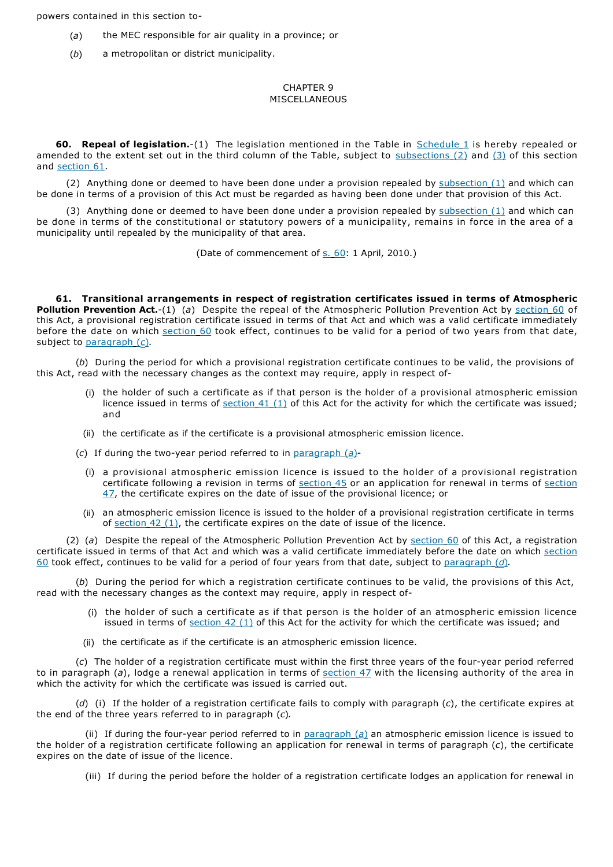powers contained in this section to-

- (*a*) the MEC responsible for air quality in a province; or
- (*b*) a metropolitan or district municipality.

## CHAPTER 9 MISCELLANEOUS

**60. Repeal of legislation.**-(1) The legislation mentioned in the Table in Schedule 1 is hereby repealed or amended to the extent set out in the third column of the Table, subject to subsections  $(2)$  and  $(3)$  of this section and section 61.

(2) Anything done or deemed to have been done under a provision repealed by subsection  $(1)$  and which can be done in terms of a provision of this Act must be regarded as having been done under that provision of this Act.

(3) Anything done or deemed to have been done under a provision repealed by subsection (1) and which can be done in terms of the constitutional or statutory powers of a municipality, remains in force in the area of a municipality until repealed by the municipality of that area.

(Date of commencement of s. 60: 1 April, 2010.)

**61. Transitional arrangements in respect of registration certificates issued in terms of Atmospheric Pollution Prevention Act.**-(1) (*a*) Despite the repeal of the Atmospheric Pollution Prevention Act by section 60 of this Act, a provisional registration certificate issued in terms of that Act and which was a valid certificate immediately before the date on which section 60 took effect, continues to be valid for a period of two years from that date, subject to paragraph (*c*).

(*b*) During the period for which a provisional registration certificate continues to be valid, the provisions of this Act, read with the necessary changes as the context may require, apply in respect of-

- the holder of such a certificate as if that person is the holder of a provisional atmospheric emission licence issued in terms of section  $41 (1)$  of this Act for the activity for which the certificate was issued; and
- (ii) the certificate as if the certificate is a provisional atmospheric emission licence.
- (*c*) If during the two-year period referred to in paragraph (*a*)-
	- (i) a provisional atmospheric emission licence is issued to the holder of a provisional registration certificate following a revision in terms of section 45 or an application for renewal in terms of section 47, the certificate expires on the date of issue of the provisional licence; or
	- (ii) an atmospheric emission licence is issued to the holder of a provisional registration certificate in terms of section  $42$  (1), the certificate expires on the date of issue of the licence.

(2) (*a*) Despite the repeal of the Atmospheric Pollution Prevention Act by section 60 of this Act, a registration certificate issued in terms of that Act and which was a valid certificate immediately before the date on which section 60 took effect, continues to be valid for a period of four years from that date, subject to paragraph (*d*)*.*

(*b*) During the period for which a registration certificate continues to be valid, the provisions of this Act, read with the necessary changes as the context may require, apply in respect of-

- (i) the holder of such a certificate as if that person is the holder of an atmospheric emission licence issued in terms of  $section_42(1)$  of this Act for the activity for which the certificate was issued; and
- (ii) the certificate as if the certificate is an atmospheric emission licence.

(*c*) The holder of a registration certificate must within the first three years of the four-year period referred to in paragraph (a), lodge a renewal application in terms of section 47 with the licensing authority of the area in which the activity for which the certificate was issued is carried out.

(*d*) (i) If the holder of a registration certificate fails to comply with paragraph (*c*), the certificate expires at the end of the three years referred to in paragraph (*c*)*.*

(ii) If during the four-year period referred to in paragraph (*a*) an atmospheric emission licence is issued to the holder of a registration certificate following an application for renewal in terms of paragraph (*c*), the certificate expires on the date of issue of the licence.

(iii) If during the period before the holder of a registration certificate lodges an application for renewal in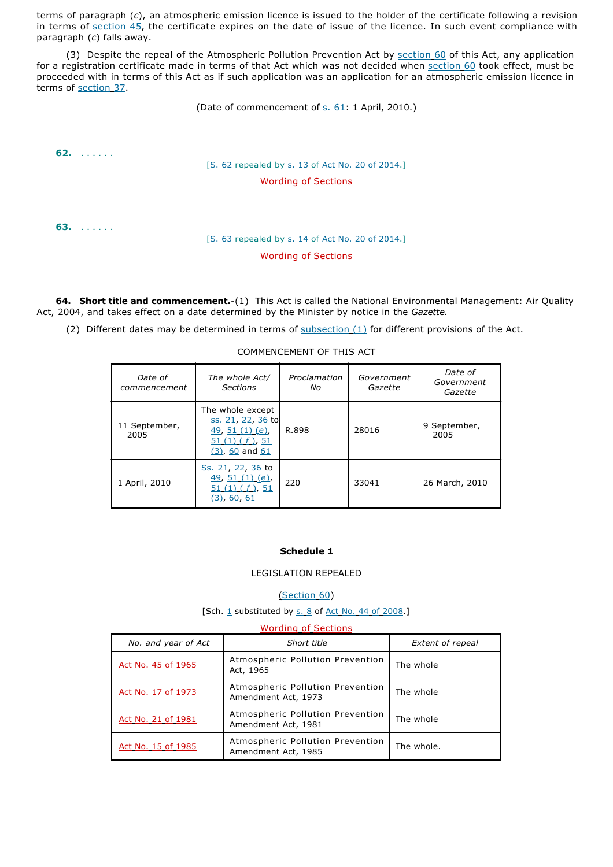terms of paragraph (*c*), an atmospheric emission licence is issued to the holder of the certificate following a revision in terms of section 45, the certificate expires on the date of issue of the licence. In such event compliance with paragraph (*c*) falls away.

(3) Despite the repeal of the Atmospheric Pollution Prevention Act by section 60 of this Act, any application for a registration certificate made in terms of that Act which was not decided when section 60 took effect, must be proceeded with in terms of this Act as if such application was an application for an atmospheric emission licence in terms of section 37.

(Date of commencement of s. 61: 1 April, 2010.)

**62.** . . . . . .

# [S. 62 repealed by s. 13 of Act No. 20 of 2014.] Wording of Sections

**63.** . . . . . .

# [S. 63 repealed by s. 14 of Act No. 20 of 2014.] Wording of Sections

**64. Short title and commencement.**-(1) This Act is called the National Environmental Management: Air Quality Act, 2004, and takes effect on a date determined by the Minister by notice in the *Gazette.*

(2) Different dates may be determined in terms of  $\frac{\text{subsection}(1)}{\text{tot}}$  for different provisions of the Act.

## COMMENCEMENT OF THIS ACT

| Date of<br>commencement | The whole Act/<br><b>Sections</b>                                                                         | Proclamation<br>No. | Government<br>Gazette | Date of<br>Government<br>Gazette |
|-------------------------|-----------------------------------------------------------------------------------------------------------|---------------------|-----------------------|----------------------------------|
| 11 September,<br>2005   | The whole except<br><u>ss. 21, 22, 36</u> to<br>49, 51 $(1)(e)$ ,<br>$51(1)(f)$ , 51<br>$(3)$ , 60 and 61 | R.898               | 28016                 | 9 September,<br>2005             |
| 1 April, 2010           | <u>Ss. 21, 22, 36</u> to<br>49, 51 (1) (e)<br>51 $(1)(f)$ , 51<br><u>(3), 60, 61</u>                      | 220                 | 33041                 | 26 March, 2010                   |

## **Schedule 1**

## LEGISLATION REPEALED

(Section 60)

#### [Sch.  $1$  substituted by  $s. 8$  of Act No. 44 of 2008.]

| <b>Wording of Sections</b> |                                                         |                         |  |  |  |  |
|----------------------------|---------------------------------------------------------|-------------------------|--|--|--|--|
| No. and year of Act        | Short title                                             | <b>Extent of repeal</b> |  |  |  |  |
| Act No. 45 of 1965         | Atmospheric Pollution Prevention<br>Act, 1965           | The whole               |  |  |  |  |
| Act No. 17 of 1973         | Atmospheric Pollution Prevention<br>Amendment Act, 1973 | The whole               |  |  |  |  |
| Act No. 21 of 1981         | Atmospheric Pollution Prevention<br>Amendment Act, 1981 | The whole               |  |  |  |  |
| Act No. 15 of 1985         | Atmospheric Pollution Prevention<br>Amendment Act, 1985 | The whole.              |  |  |  |  |